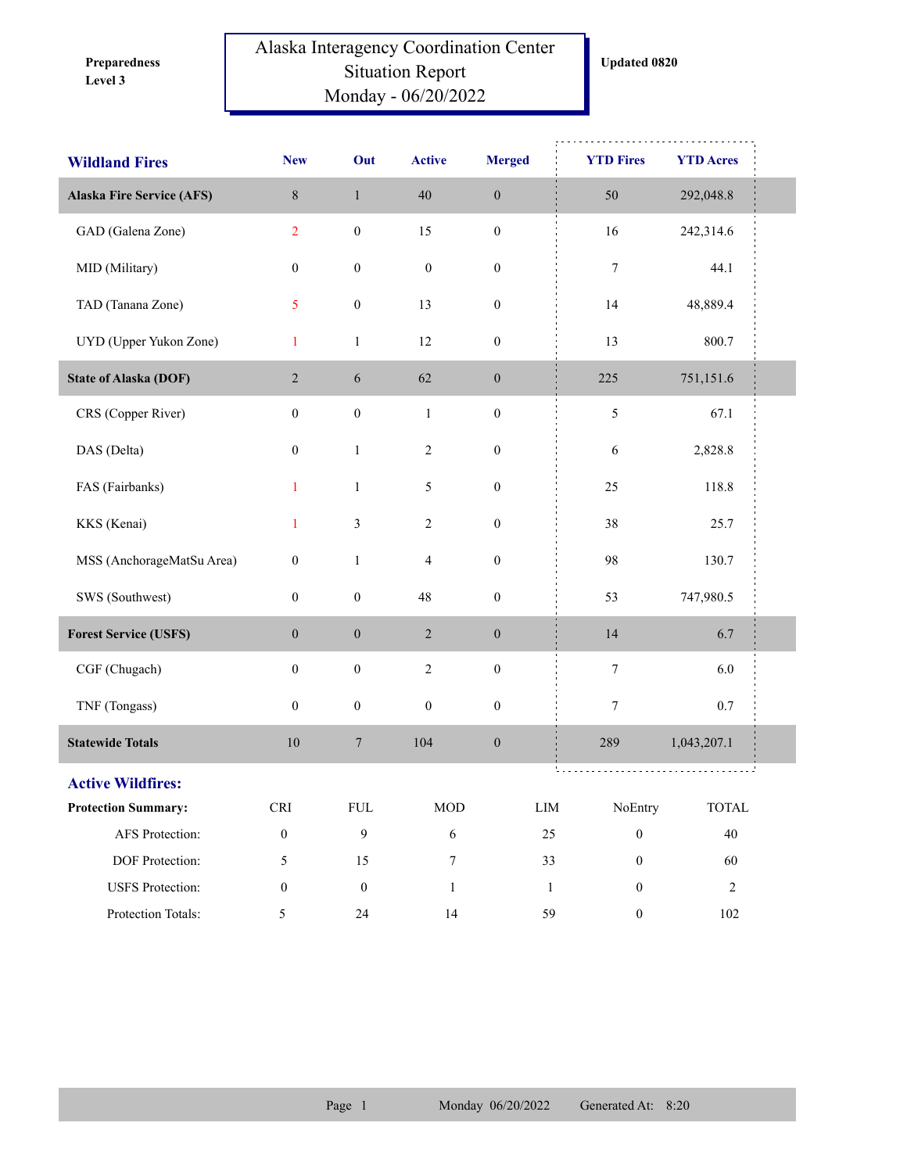**Level 3 Preparedness** 

## Alaska Interagency Coordination Center Situation Report Monday - 06/20/2022

| <b>Wildland Fires</b>            | <b>New</b>           | Out              | <b>Active</b>    | <b>Merged</b>    | <b>YTD Fires</b>          | <b>YTD Acres</b>            |  |
|----------------------------------|----------------------|------------------|------------------|------------------|---------------------------|-----------------------------|--|
| <b>Alaska Fire Service (AFS)</b> | $\,8\,$              | $\,1\,$          | 40               | $\boldsymbol{0}$ | 50                        | 292,048.8                   |  |
| GAD (Galena Zone)                | $\overline{2}$       | $\boldsymbol{0}$ | 15               | $\boldsymbol{0}$ | 16                        | 242,314.6                   |  |
| MID (Military)                   | $\boldsymbol{0}$     | $\boldsymbol{0}$ | $\boldsymbol{0}$ | $\boldsymbol{0}$ | $\tau$                    | 44.1                        |  |
| TAD (Tanana Zone)                | 5                    | $\boldsymbol{0}$ | 13               | $\boldsymbol{0}$ | 14                        | 48,889.4                    |  |
| UYD (Upper Yukon Zone)           | $\mathbf{1}$         | $\mathbf{1}$     | 12               | $\boldsymbol{0}$ | 13                        | 800.7                       |  |
| <b>State of Alaska (DOF)</b>     | $\overline{2}$       | $\sqrt{6}$       | 62               | $\boldsymbol{0}$ | 225                       | 751,151.6                   |  |
| CRS (Copper River)               | $\boldsymbol{0}$     | $\boldsymbol{0}$ | $\mathbf{1}$     | $\boldsymbol{0}$ | $\mathfrak{S}$            | 67.1                        |  |
| DAS (Delta)                      | $\boldsymbol{0}$     | $\mathbf{1}$     | $\sqrt{2}$       | $\boldsymbol{0}$ | 6                         | 2,828.8                     |  |
| FAS (Fairbanks)                  | $\mathbf{1}$         | $\mathbf{1}$     | 5                | $\boldsymbol{0}$ | 25                        | 118.8                       |  |
| KKS (Kenai)                      | $\mathbf{1}$         | $\mathfrak{Z}$   | $\sqrt{2}$       | $\boldsymbol{0}$ | 38                        | 25.7                        |  |
| MSS (AnchorageMatSu Area)        | $\boldsymbol{0}$     | $\,1\,$          | $\overline{4}$   | $\boldsymbol{0}$ | 98                        | 130.7                       |  |
| SWS (Southwest)                  | $\boldsymbol{0}$     | $\boldsymbol{0}$ | 48               | $\boldsymbol{0}$ | 53                        | 747,980.5                   |  |
| <b>Forest Service (USFS)</b>     | $\mathbf{0}$         | $\boldsymbol{0}$ | $\sqrt{2}$       | $\boldsymbol{0}$ | 14                        | 6.7                         |  |
| CGF (Chugach)                    | $\boldsymbol{0}$     | $\boldsymbol{0}$ | $\sqrt{2}$       | $\boldsymbol{0}$ | $\tau$                    | 6.0                         |  |
| TNF (Tongass)                    | $\boldsymbol{0}$     | $\boldsymbol{0}$ | $\boldsymbol{0}$ | $\boldsymbol{0}$ | $\tau$                    | 0.7                         |  |
| <b>Statewide Totals</b>          | $10\,$               | $\boldsymbol{7}$ | 104              | $\boldsymbol{0}$ | 289                       | 1,043,207.1                 |  |
| <b>Active Wildfires:</b>         |                      |                  |                  |                  |                           |                             |  |
| <b>Protection Summary:</b>       | $\operatorname{CRI}$ | ${\rm FUL}$      | $\rm MOD$        |                  | NoEntry<br>${\rm LIM}$    | $\ensuremath{\text{TOTAL}}$ |  |
| AFS Protection:                  | $\boldsymbol{0}$     | 9                | $\sqrt{6}$       |                  | 25<br>$\boldsymbol{0}$    | 40                          |  |
| DOF Protection:                  | 5                    | 15               | $\boldsymbol{7}$ |                  | $\boldsymbol{0}$<br>33    | 60                          |  |
| <b>USFS</b> Protection:          | $\boldsymbol{0}$     | $\boldsymbol{0}$ | $\mathbf{1}$     |                  | $1\,$<br>$\boldsymbol{0}$ | $\overline{2}$              |  |
| Protection Totals:               | 5                    | $24\,$           | 14               |                  | 59<br>$\boldsymbol{0}$    | $102\,$                     |  |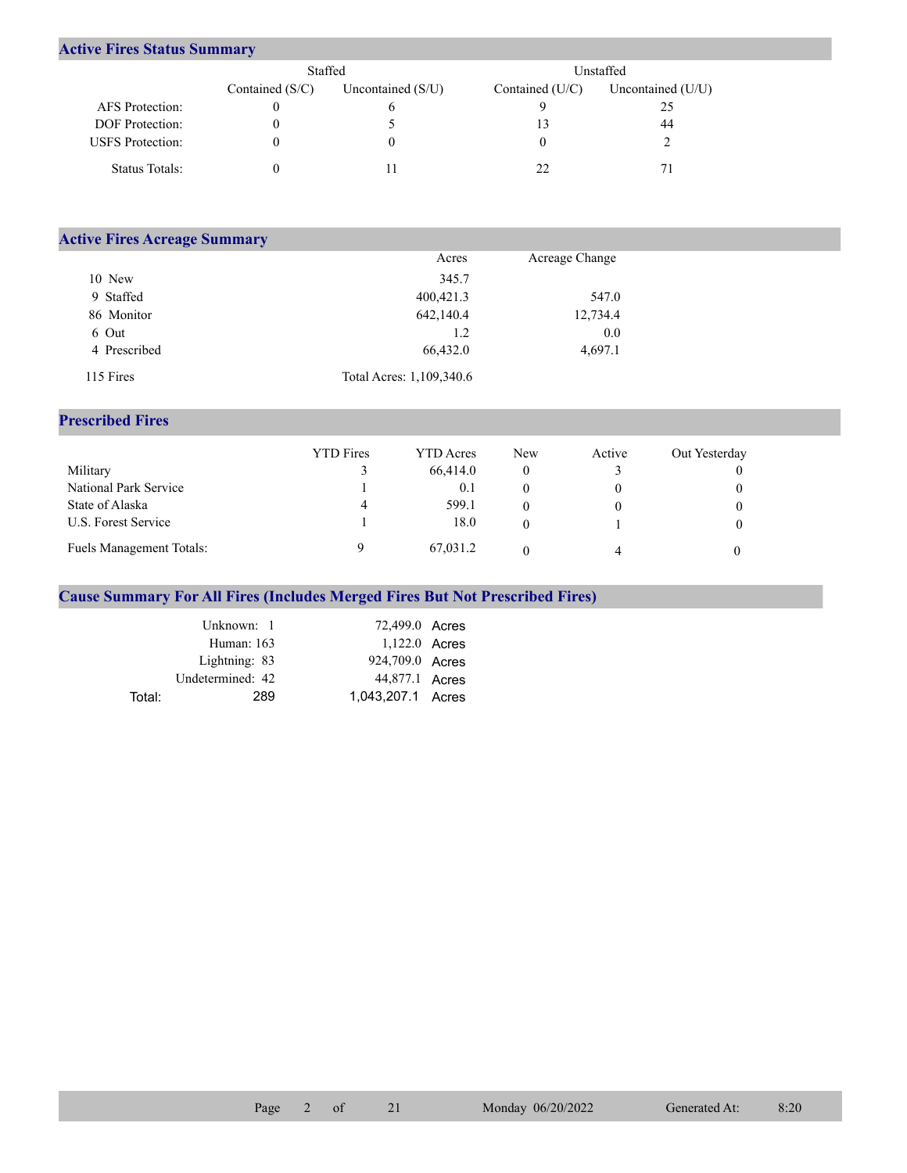## **Active Fires Status Summary**

|                         | Staffed           |                     | Unstaffed.      |                   |  |  |
|-------------------------|-------------------|---------------------|-----------------|-------------------|--|--|
|                         | Contained $(S/C)$ | Uncontained $(S/U)$ | Contained (U/C) | Uncontained (U/U) |  |  |
| AFS Protection:         |                   |                     |                 |                   |  |  |
| <b>DOF</b> Protection:  |                   |                     |                 | 44                |  |  |
| <b>USFS</b> Protection: |                   |                     |                 |                   |  |  |
| Status Totals:          |                   |                     |                 |                   |  |  |

| <b>Active Fires Acreage Summary</b> |                          |                |  |
|-------------------------------------|--------------------------|----------------|--|
|                                     | Acres                    | Acreage Change |  |
| 10 New                              | 345.7                    |                |  |
| 9 Staffed                           | 400,421.3                | 547.0          |  |
| 86 Monitor                          | 642,140.4                | 12,734.4       |  |
| 6 Out                               | 1.2                      | 0.0            |  |
| 4 Prescribed                        | 66,432.0                 | 4,697.1        |  |
| 115 Fires                           | Total Acres: 1,109,340.6 |                |  |

## **Prescribed Fires**

|                                 | <b>YTD</b> Fires | <b>YTD</b> Acres | <b>New</b> | Active | Out Yesterday |
|---------------------------------|------------------|------------------|------------|--------|---------------|
| Military                        |                  | 66,414.0         |            |        |               |
| National Park Service           |                  | 0.1              |            |        |               |
| State of Alaska                 | 4                | 599.1            |            |        |               |
| U.S. Forest Service             |                  | 18.0             |            |        |               |
| <b>Fuels Management Totals:</b> |                  | 67,031.2         |            |        |               |

## **Cause Summary For All Fires (Includes Merged Fires But Not Prescribed Fires)**

|        | Unknown: 1       | 72,499.0 Acres    |  |
|--------|------------------|-------------------|--|
|        | Human: $163$     | 1,122.0 Acres     |  |
|        | Lightning: 83    | 924,709.0 Acres   |  |
|        | Undetermined: 42 | 44,877.1 Acres    |  |
| Total: | 289              | 1.043.207.1 Acres |  |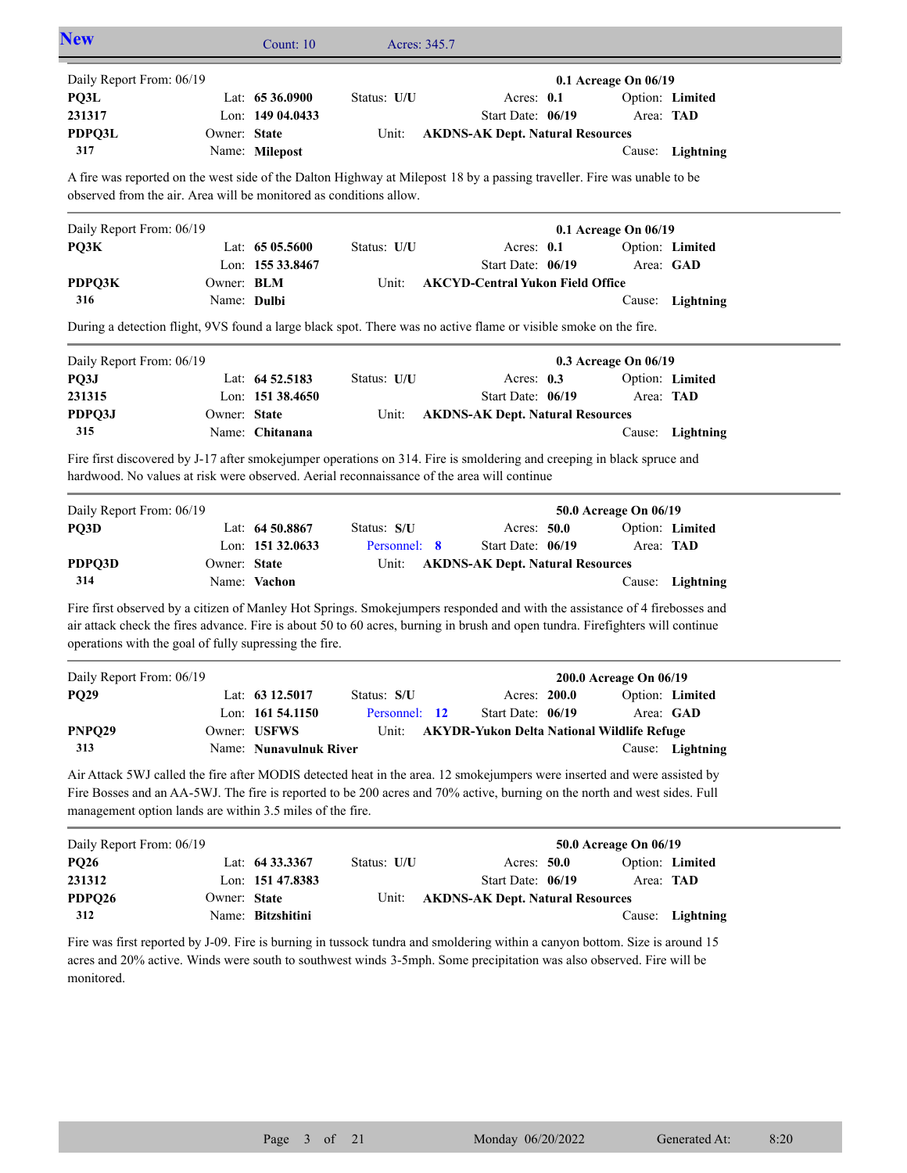| <b>New</b>                                                                                                                                                                                                                                                                                                             |                                                                                                                                                                                                                      | Count: 10              | Acres: 345.7  |                                                   |  |                        |                  |  |  |
|------------------------------------------------------------------------------------------------------------------------------------------------------------------------------------------------------------------------------------------------------------------------------------------------------------------------|----------------------------------------------------------------------------------------------------------------------------------------------------------------------------------------------------------------------|------------------------|---------------|---------------------------------------------------|--|------------------------|------------------|--|--|
| Daily Report From: 06/19                                                                                                                                                                                                                                                                                               |                                                                                                                                                                                                                      |                        |               |                                                   |  | 0.1 Acreage On 06/19   |                  |  |  |
| PQ3L                                                                                                                                                                                                                                                                                                                   |                                                                                                                                                                                                                      | Lat: 65 36.0900        | Status: U/U   | Acres: 0.1                                        |  |                        | Option: Limited  |  |  |
| 231317                                                                                                                                                                                                                                                                                                                 |                                                                                                                                                                                                                      | Lon: 149 04.0433       |               | Start Date: 06/19                                 |  | Area: TAD              |                  |  |  |
| PDPQ3L                                                                                                                                                                                                                                                                                                                 | Owner: State                                                                                                                                                                                                         |                        | Unit:         | <b>AKDNS-AK Dept. Natural Resources</b>           |  |                        |                  |  |  |
| 317                                                                                                                                                                                                                                                                                                                    |                                                                                                                                                                                                                      | Name: Milepost         |               |                                                   |  |                        | Cause: Lightning |  |  |
| A fire was reported on the west side of the Dalton Highway at Milepost 18 by a passing traveller. Fire was unable to be                                                                                                                                                                                                |                                                                                                                                                                                                                      |                        |               |                                                   |  |                        |                  |  |  |
| observed from the air. Area will be monitored as conditions allow.                                                                                                                                                                                                                                                     |                                                                                                                                                                                                                      |                        |               |                                                   |  |                        |                  |  |  |
| Daily Report From: 06/19                                                                                                                                                                                                                                                                                               |                                                                                                                                                                                                                      |                        |               |                                                   |  | 0.1 Acreage On 06/19   |                  |  |  |
| PQ3K                                                                                                                                                                                                                                                                                                                   |                                                                                                                                                                                                                      | Lat: $6505.5600$       | Status: U/U   | Acres: 0.1                                        |  |                        | Option: Limited  |  |  |
|                                                                                                                                                                                                                                                                                                                        |                                                                                                                                                                                                                      | Lon: 155 33.8467       |               | Start Date: 06/19                                 |  | Area: GAD              |                  |  |  |
| PDPQ3K                                                                                                                                                                                                                                                                                                                 | Owner: BLM                                                                                                                                                                                                           |                        | Unit:         | <b>AKCYD-Central Yukon Field Office</b>           |  |                        |                  |  |  |
| 316                                                                                                                                                                                                                                                                                                                    | Name: Dulbi                                                                                                                                                                                                          |                        |               |                                                   |  |                        | Cause: Lightning |  |  |
| During a detection flight, 9VS found a large black spot. There was no active flame or visible smoke on the fire.                                                                                                                                                                                                       |                                                                                                                                                                                                                      |                        |               |                                                   |  |                        |                  |  |  |
| Daily Report From: 06/19                                                                                                                                                                                                                                                                                               |                                                                                                                                                                                                                      |                        |               |                                                   |  | 0.3 Acreage On 06/19   |                  |  |  |
| PQ3J                                                                                                                                                                                                                                                                                                                   |                                                                                                                                                                                                                      | Lat: 64 52.5183        | Status: U/U   | Acres: $0.3$                                      |  |                        | Option: Limited  |  |  |
| 231315                                                                                                                                                                                                                                                                                                                 |                                                                                                                                                                                                                      | Lon: 151 38.4650       |               | Start Date: 06/19                                 |  | Area: TAD              |                  |  |  |
| PDPQ3J                                                                                                                                                                                                                                                                                                                 | Owner: State                                                                                                                                                                                                         |                        | Unit:         | <b>AKDNS-AK Dept. Natural Resources</b>           |  |                        |                  |  |  |
| 315                                                                                                                                                                                                                                                                                                                    |                                                                                                                                                                                                                      | Name: Chitanana        |               |                                                   |  | Cause:                 | Lightning        |  |  |
|                                                                                                                                                                                                                                                                                                                        | Fire first discovered by J-17 after smokejumper operations on 314. Fire is smoldering and creeping in black spruce and<br>hardwood. No values at risk were observed. Aerial reconnaissance of the area will continue |                        |               |                                                   |  |                        |                  |  |  |
| Daily Report From: 06/19                                                                                                                                                                                                                                                                                               |                                                                                                                                                                                                                      |                        |               |                                                   |  | 50.0 Acreage On 06/19  |                  |  |  |
| PQ3D                                                                                                                                                                                                                                                                                                                   |                                                                                                                                                                                                                      | Lat: $64\,50.8867$     | Status: S/U   | Acres: 50.0                                       |  |                        | Option: Limited  |  |  |
|                                                                                                                                                                                                                                                                                                                        |                                                                                                                                                                                                                      | Lon: 151 32.0633       | Personnel: 8  | Start Date: 06/19                                 |  | Area: TAD              |                  |  |  |
| PDPQ3D<br>314                                                                                                                                                                                                                                                                                                          | Owner: State                                                                                                                                                                                                         | Name: Vachon           | Unit:         | <b>AKDNS-AK Dept. Natural Resources</b>           |  |                        | Cause: Lightning |  |  |
|                                                                                                                                                                                                                                                                                                                        |                                                                                                                                                                                                                      |                        |               |                                                   |  |                        |                  |  |  |
| Fire first observed by a citizen of Manley Hot Springs. Smokejumpers responded and with the assistance of 4 firebosses and<br>air attack check the fires advance. Fire is about 50 to 60 acres, burning in brush and open tundra. Firefighters will continue<br>operations with the goal of fully supressing the fire. |                                                                                                                                                                                                                      |                        |               |                                                   |  |                        |                  |  |  |
| Daily Report From: 06/19                                                                                                                                                                                                                                                                                               |                                                                                                                                                                                                                      |                        |               |                                                   |  | 200.0 Acreage On 06/19 |                  |  |  |
| <b>PQ29</b>                                                                                                                                                                                                                                                                                                            |                                                                                                                                                                                                                      | Lat: 63 12.5017        | Status: S/U   | Acres: 200.0                                      |  | Option: Limited        |                  |  |  |
|                                                                                                                                                                                                                                                                                                                        |                                                                                                                                                                                                                      | Lon: 161 54.1150       | Personnel: 12 | Start Date: 06/19                                 |  |                        | Area: GAD        |  |  |
| PNPQ29                                                                                                                                                                                                                                                                                                                 |                                                                                                                                                                                                                      | Owner: USFWS           | Unit:         | <b>AKYDR-Yukon Delta National Wildlife Refuge</b> |  |                        |                  |  |  |
| 313                                                                                                                                                                                                                                                                                                                    |                                                                                                                                                                                                                      | Name: Nunavulnuk River |               |                                                   |  |                        | Cause: Lightning |  |  |
| Air Attack 5WJ called the fire after MODIS detected heat in the area. 12 smokejumpers were inserted and were assisted by<br>Fire Bosses and an AA-5WJ. The fire is reported to be 200 acres and 70% active, burning on the north and west sides. Full<br>management option lands are within 3.5 miles of the fire.     |                                                                                                                                                                                                                      |                        |               |                                                   |  |                        |                  |  |  |
| Daily Report From: 06/19                                                                                                                                                                                                                                                                                               |                                                                                                                                                                                                                      |                        |               |                                                   |  | 50.0 Acreage On 06/19  |                  |  |  |
| <b>PQ26</b>                                                                                                                                                                                                                                                                                                            |                                                                                                                                                                                                                      | Lat: 64 33.3367        | Status: U/U   | Acres: 50.0                                       |  |                        | Option: Limited  |  |  |
| 231312                                                                                                                                                                                                                                                                                                                 |                                                                                                                                                                                                                      | Lon: 151 47.8383       |               | Start Date: 06/19                                 |  | Area: TAD              |                  |  |  |
| PDPQ26                                                                                                                                                                                                                                                                                                                 | Owner: State                                                                                                                                                                                                         |                        | Unit:         | <b>AKDNS-AK Dept. Natural Resources</b>           |  |                        |                  |  |  |
| 312                                                                                                                                                                                                                                                                                                                    |                                                                                                                                                                                                                      | Name: Bitzshitini      |               |                                                   |  |                        | Cause: Lightning |  |  |

Fire was first reported by J-09. Fire is burning in tussock tundra and smoldering within a canyon bottom. Size is around 15 acres and 20% active. Winds were south to southwest winds 3-5mph. Some precipitation was also observed. Fire will be monitored.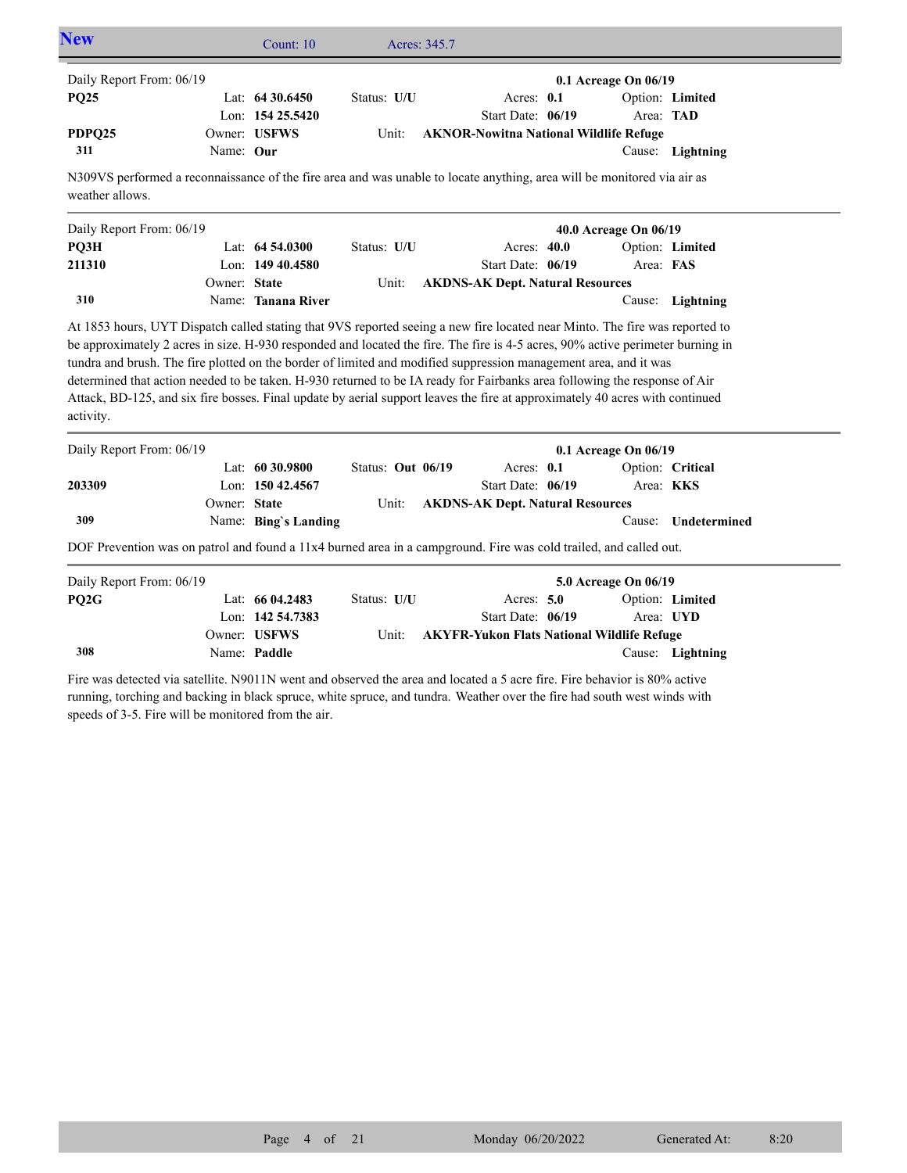| <b>New</b>               |           | Count: $10$        |             | Acres: 345.7                                  |                          |                  |  |
|--------------------------|-----------|--------------------|-------------|-----------------------------------------------|--------------------------|------------------|--|
| Daily Report From: 06/19 |           |                    |             |                                               | $0.1$ Acreage On $06/19$ |                  |  |
| <b>PQ25</b>              |           | Lat: $64\,30.6450$ | Status: U/U | Acres: $0.1$                                  |                          | Option: Limited  |  |
|                          |           | Lon: $15425.5420$  |             | Start Date: 06/19                             | Area: <b>TAD</b>         |                  |  |
| PDPQ25                   |           | Owner: USFWS       | Unit:       | <b>AKNOR-Nowitna National Wildlife Refuge</b> |                          |                  |  |
| 311                      | Name: Our |                    |             |                                               |                          | Cause: Lightning |  |

N309VS performed a reconnaissance of the fire area and was unable to locate anything, area will be monitored via air as weather allows.

| Daily Report From: 06/19 |              |                     |             |                                         | 40.0 Acreage On 06/19 |                  |
|--------------------------|--------------|---------------------|-------------|-----------------------------------------|-----------------------|------------------|
| PO3H                     |              | Lat: $64\,54.0300$  | Status: U/U | Acres: $40.0$                           |                       | Option: Limited  |
| 211310                   |              | Lon: $149\,40.4580$ |             | Start Date: 06/19                       | Area: FAS             |                  |
|                          | Owner: State |                     | Unit:       | <b>AKDNS-AK Dept. Natural Resources</b> |                       |                  |
| 310                      |              | Name: Tanana River  |             |                                         |                       | Cause: Lightning |

At 1853 hours, UYT Dispatch called stating that 9VS reported seeing a new fire located near Minto. The fire was reported to be approximately 2 acres in size. H-930 responded and located the fire. The fire is 4-5 acres, 90% active perimeter burning in tundra and brush. The fire plotted on the border of limited and modified suppression management area, and it was determined that action needed to be taken. H-930 returned to be IA ready for Fairbanks area following the response of Air Attack, BD-125, and six fire bosses. Final update by aerial support leaves the fire at approximately 40 acres with continued activity.

| Daily Report From: 06/19 |              |                      |                     |  | $0.1$ Acreage On $06/19$                |  |                  |                     |
|--------------------------|--------------|----------------------|---------------------|--|-----------------------------------------|--|------------------|---------------------|
|                          |              | Lat: $6030.9800$     | Status: Out $06/19$ |  | Acres: $0.1$                            |  |                  | Option: Critical    |
| 203309                   |              | Lon: $15042.4567$    |                     |  | Start Date: $06/19$                     |  | Area: <b>KKS</b> |                     |
|                          | Owner: State |                      | Unit:               |  | <b>AKDNS-AK Dept. Natural Resources</b> |  |                  |                     |
| 309                      |              | Name: Bing's Landing |                     |  |                                         |  |                  | Cause: Undetermined |

DOF Prevention was on patrol and found a 11x4 burned area in a campground. Fire was cold trailed, and called out.

| Daily Report From: 06/19 |                  |             |                                            | 5.0 Acreage On 06/19 |                  |
|--------------------------|------------------|-------------|--------------------------------------------|----------------------|------------------|
| PO2G-                    | Lat: $6604.2483$ | Status: U/U | Acres: $5.0$                               |                      | Option: Limited  |
|                          | Lon: 142 54.7383 |             | Start Date: 06/19                          | Area: UYD            |                  |
|                          | Owner: USFWS     | Unit:       | AKYFR-Yukon Flats National Wildlife Refuge |                      |                  |
| 308                      | Name: Paddle     |             |                                            |                      | Cause: Lightning |

Fire was detected via satellite. N9011N went and observed the area and located a 5 acre fire. Fire behavior is 80% active running, torching and backing in black spruce, white spruce, and tundra. Weather over the fire had south west winds with speeds of 3-5. Fire will be monitored from the air.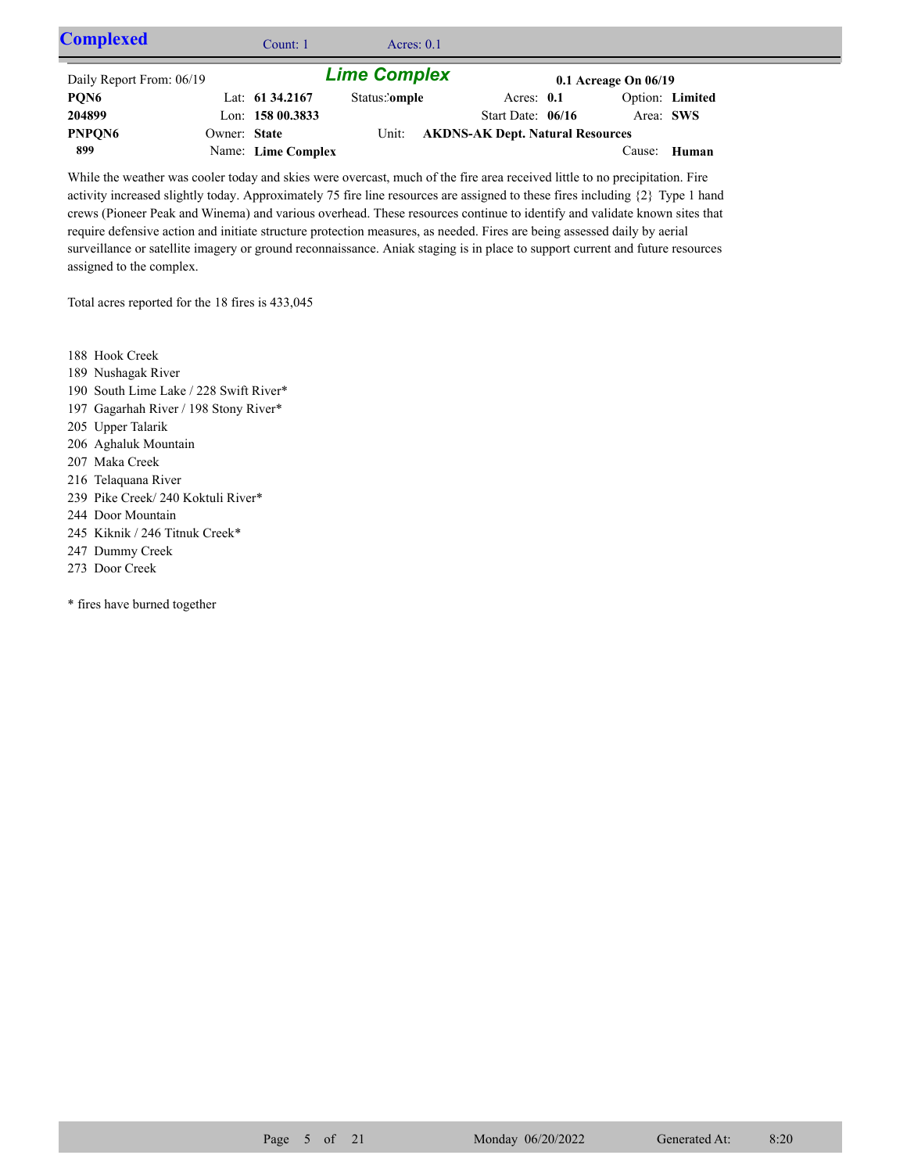| <b>Complexed</b>         |              | Count: 1           | Acres: $0.1$        |                                        |              |                          |                 |  |
|--------------------------|--------------|--------------------|---------------------|----------------------------------------|--------------|--------------------------|-----------------|--|
| Daily Report From: 06/19 |              |                    | <b>Lime Complex</b> |                                        |              | $0.1$ Acreage On $06/19$ |                 |  |
| PQN6                     |              | Lat: $61\,34.2167$ | Status:'omple       |                                        | Acres: $0.1$ |                          | Option: Limited |  |
| 204899                   |              | Lon: 158 00.3833   |                     | Start Date: $06/16$                    |              | Area: SWS                |                 |  |
| PNPQN6                   | Owner: State |                    |                     | Unit: AKDNS-AK Dept. Natural Resources |              |                          |                 |  |
| 899                      |              | Name: Lime Complex |                     |                                        |              |                          | Cause: Human    |  |

While the weather was cooler today and skies were overcast, much of the fire area received little to no precipitation. Fire activity increased slightly today. Approximately 75 fire line resources are assigned to these fires including {2} Type 1 hand crews (Pioneer Peak and Winema) and various overhead. These resources continue to identify and validate known sites that require defensive action and initiate structure protection measures, as needed. Fires are being assessed daily by aerial surveillance or satellite imagery or ground reconnaissance. Aniak staging is in place to support current and future resources assigned to the complex.

Total acres reported for the 18 fires is 433,045

- 188 Hook Creek
- 189 Nushagak River
- 190 South Lime Lake / 228 Swift River\*
- 197 Gagarhah River / 198 Stony River\*
- 205 Upper Talarik
- 206 Aghaluk Mountain
- 207 Maka Creek
- 216 Telaquana River
- 239 Pike Creek/ 240 Koktuli River\*
- 244 Door Mountain
- 245 Kiknik / 246 Titnuk Creek\*
- 247 Dummy Creek
- 273 Door Creek

\* fires have burned together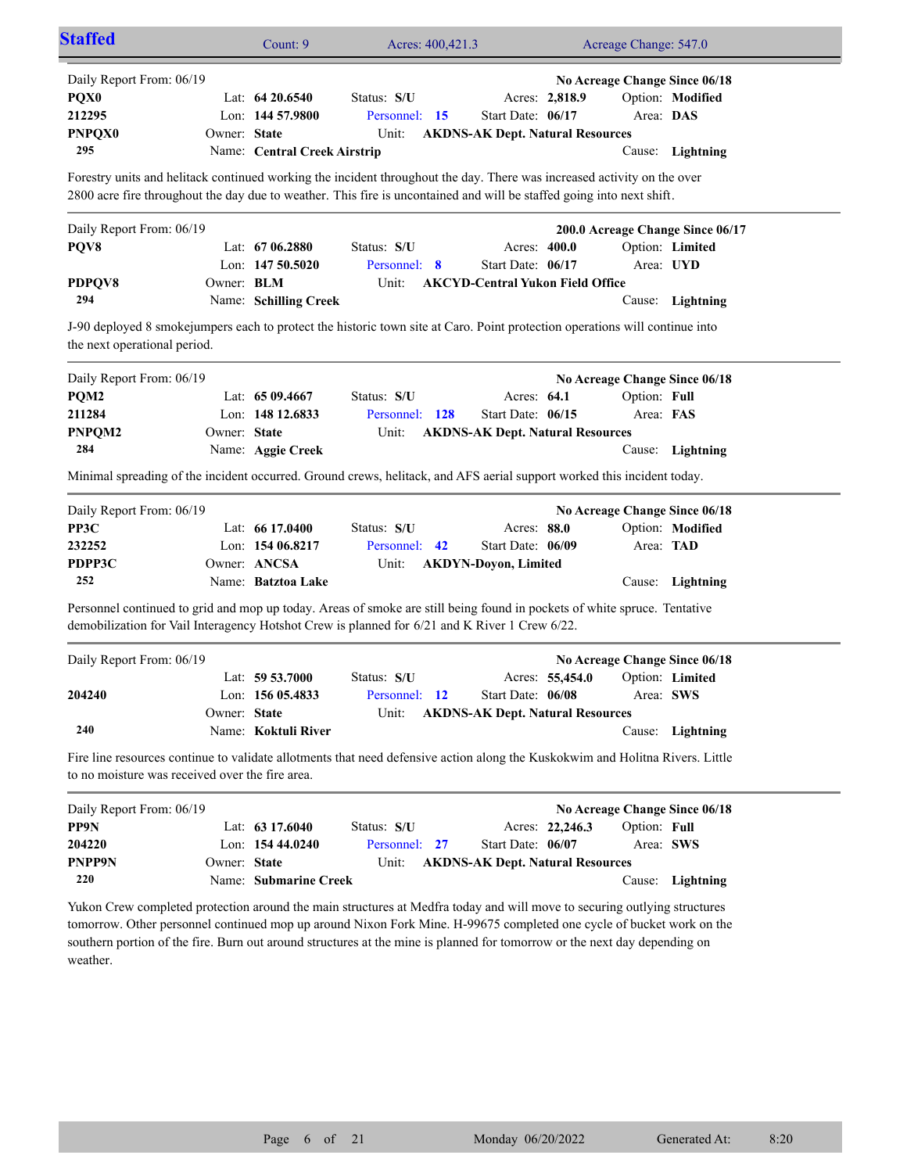| <b>Staffed</b>                                                                                                                                                                                                                                   |                   | Count: 9                     | Acres: 400,421.3 |                                         |                 | Acreage Change: 547.0 |                                  |  |  |  |
|--------------------------------------------------------------------------------------------------------------------------------------------------------------------------------------------------------------------------------------------------|-------------------|------------------------------|------------------|-----------------------------------------|-----------------|-----------------------|----------------------------------|--|--|--|
| Daily Report From: 06/19                                                                                                                                                                                                                         |                   |                              |                  |                                         |                 |                       | No Acreage Change Since 06/18    |  |  |  |
| PQX0                                                                                                                                                                                                                                             |                   | Lat: $64\,20.6540$           | Status: S/U      |                                         | Acres: 2,818.9  |                       | Option: Modified                 |  |  |  |
| 212295                                                                                                                                                                                                                                           |                   | Lon: 144 57.9800             | Personnel: 15    | Start Date: 06/17                       |                 | Area: DAS             |                                  |  |  |  |
| <b>PNPQX0</b>                                                                                                                                                                                                                                    | Owner: State      |                              | Unit:            | <b>AKDNS-AK Dept. Natural Resources</b> |                 |                       |                                  |  |  |  |
| 295                                                                                                                                                                                                                                              |                   | Name: Central Creek Airstrip |                  |                                         |                 |                       | Cause: Lightning                 |  |  |  |
| Forestry units and helitack continued working the incident throughout the day. There was increased activity on the over                                                                                                                          |                   |                              |                  |                                         |                 |                       |                                  |  |  |  |
| 2800 acre fire throughout the day due to weather. This fire is uncontained and will be staffed going into next shift.                                                                                                                            |                   |                              |                  |                                         |                 |                       |                                  |  |  |  |
| Daily Report From: 06/19                                                                                                                                                                                                                         |                   |                              |                  |                                         |                 |                       | 200.0 Acreage Change Since 06/17 |  |  |  |
| PQV8                                                                                                                                                                                                                                             |                   | Lat: 67 06.2880              | Status: S/U      | Acres: 400.0                            |                 |                       | Option: Limited                  |  |  |  |
|                                                                                                                                                                                                                                                  |                   | Lon: $147,50.5020$           | Personnel: 8     | Start Date: 06/17                       |                 |                       | Area: UYD                        |  |  |  |
| PDPQV8                                                                                                                                                                                                                                           | Owner: <b>BLM</b> |                              | Unit:            | <b>AKCYD-Central Yukon Field Office</b> |                 |                       |                                  |  |  |  |
| 294                                                                                                                                                                                                                                              |                   | Name: Schilling Creek        |                  |                                         |                 |                       | Cause: Lightning                 |  |  |  |
| J-90 deployed 8 smoke jumpers each to protect the historic town site at Caro. Point protection operations will continue into<br>the next operational period.                                                                                     |                   |                              |                  |                                         |                 |                       |                                  |  |  |  |
| Daily Report From: 06/19                                                                                                                                                                                                                         |                   |                              |                  |                                         |                 |                       | No Acreage Change Since 06/18    |  |  |  |
| PQM2                                                                                                                                                                                                                                             |                   | Lat: $6509.4667$             | Status: S/U      | Acres: 64.1                             |                 | Option: Full          |                                  |  |  |  |
| 211284                                                                                                                                                                                                                                           |                   | Lon: 148 12.6833             | Personnel: 128   | Start Date: 06/15                       |                 | Area: FAS             |                                  |  |  |  |
| PNPQM2                                                                                                                                                                                                                                           | Owner: State      |                              | Unit:            | <b>AKDNS-AK Dept. Natural Resources</b> |                 |                       |                                  |  |  |  |
| 284                                                                                                                                                                                                                                              |                   | Name: Aggie Creek            |                  |                                         |                 |                       | Cause: Lightning                 |  |  |  |
| Minimal spreading of the incident occurred. Ground crews, helitack, and AFS aerial support worked this incident today.                                                                                                                           |                   |                              |                  |                                         |                 |                       |                                  |  |  |  |
| Daily Report From: 06/19                                                                                                                                                                                                                         |                   |                              |                  |                                         |                 |                       | No Acreage Change Since 06/18    |  |  |  |
| PP3C                                                                                                                                                                                                                                             |                   | Lat: $6617.0400$             | Status: S/U      | Acres: 88.0                             |                 |                       | Option: Modified                 |  |  |  |
| 232252                                                                                                                                                                                                                                           |                   | Lon: 154 06.8217             | Personnel: 42    | Start Date: 06/09                       |                 | Area: TAD             |                                  |  |  |  |
| PDPP3C                                                                                                                                                                                                                                           |                   | Owner: ANCSA                 | Unit:            | <b>AKDYN-Doyon, Limited</b>             |                 |                       |                                  |  |  |  |
| 252                                                                                                                                                                                                                                              |                   | Name: Batztoa Lake           |                  |                                         |                 |                       | Cause: Lightning                 |  |  |  |
| Personnel continued to grid and mop up today. Areas of smoke are still being found in pockets of white spruce. Tentative<br>demobilization for Vail Interagency Hotshot Crew is planned for 6/21 and K River 1 Crew 6/22.                        |                   |                              |                  |                                         |                 |                       |                                  |  |  |  |
| Daily Report From: 06/19                                                                                                                                                                                                                         |                   |                              |                  |                                         |                 |                       | No Acreage Change Since 06/18    |  |  |  |
|                                                                                                                                                                                                                                                  |                   | Lat: 59 53.7000              | Status: S/U      |                                         | Acres: 55,454.0 |                       | Option: Limited                  |  |  |  |
| 204240                                                                                                                                                                                                                                           |                   | Lon: 156 05.4833             | Personnel: 12    | Start Date: 06/08                       |                 | Area: SWS             |                                  |  |  |  |
|                                                                                                                                                                                                                                                  | Owner: State      |                              | Unit:            | <b>AKDNS-AK Dept. Natural Resources</b> |                 |                       |                                  |  |  |  |
| 240                                                                                                                                                                                                                                              |                   | Name: Koktuli River          |                  |                                         |                 |                       | Cause: Lightning                 |  |  |  |
| Fire line resources continue to validate allotments that need defensive action along the Kuskokwim and Holitna Rivers. Little<br>to no moisture was received over the fire area.                                                                 |                   |                              |                  |                                         |                 |                       |                                  |  |  |  |
|                                                                                                                                                                                                                                                  |                   |                              |                  |                                         |                 |                       |                                  |  |  |  |
| Daily Report From: 06/19                                                                                                                                                                                                                         |                   |                              |                  |                                         |                 |                       | No Acreage Change Since 06/18    |  |  |  |
| PP9N                                                                                                                                                                                                                                             |                   | Lat: 63 17.6040              | Status: S/U      |                                         | Acres: 22,246.3 | Option: Full          |                                  |  |  |  |
| 204220                                                                                                                                                                                                                                           |                   | Lon: $1544.0240$             | Personnel: 27    | Start Date: 06/07                       |                 | Area: SWS             |                                  |  |  |  |
| PNPP9N                                                                                                                                                                                                                                           | Owner: State      |                              | Unit:            | <b>AKDNS-AK Dept. Natural Resources</b> |                 |                       |                                  |  |  |  |
| 220                                                                                                                                                                                                                                              |                   | Name: Submarine Creek        |                  |                                         |                 |                       | Cause: Lightning                 |  |  |  |
| Yukon Crew completed protection around the main structures at Medfra today and will move to securing outlying structures<br>tomorrow. Other personnel continued mop up around Nixon Fork Mine. H-99675 completed one cycle of bucket work on the |                   |                              |                  |                                         |                 |                       |                                  |  |  |  |

southern portion of the fire. Burn out around structures at the mine is planned for tomorrow or the next day depending on weather.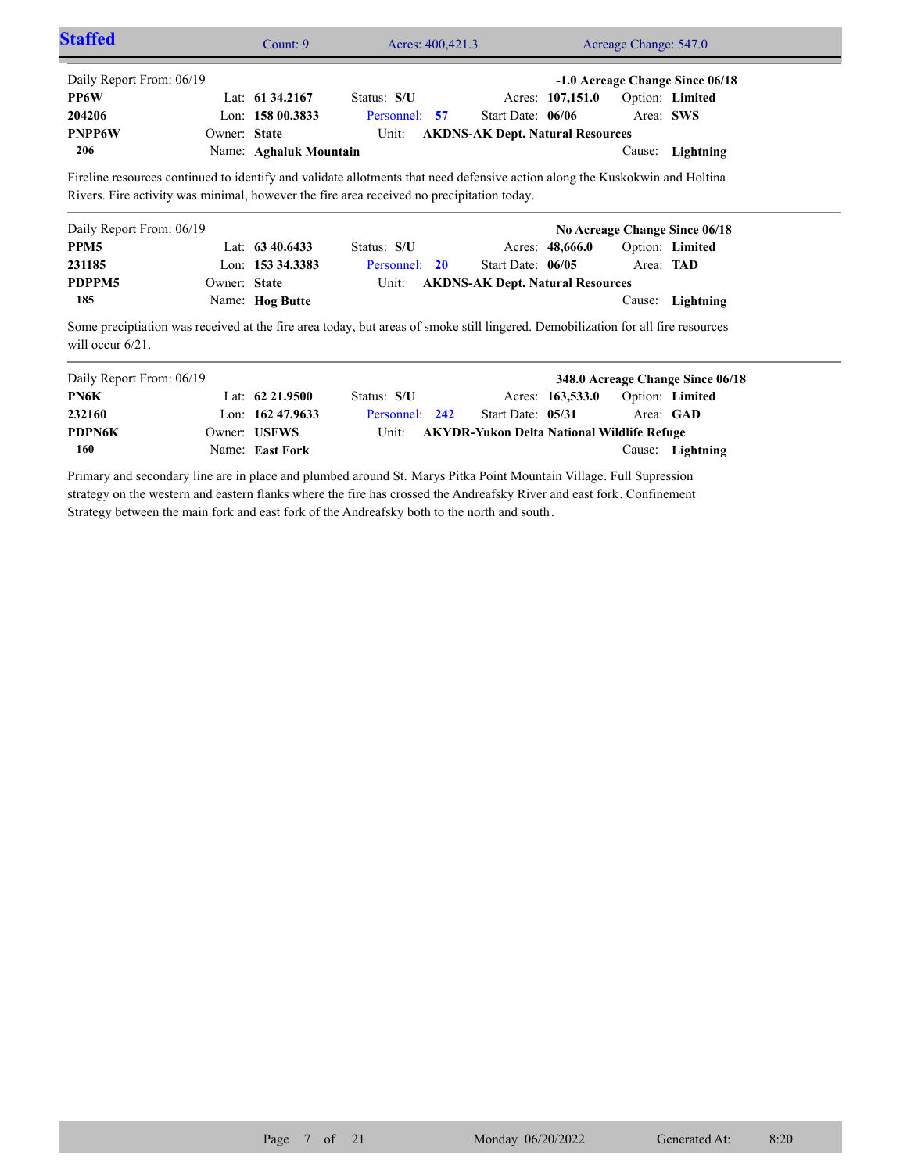| <b>Staffed</b>           |              | Count: 9               | Acres: 400,421.3 |                                         |                  | Acreage Change: 547.0 |                                 |  |
|--------------------------|--------------|------------------------|------------------|-----------------------------------------|------------------|-----------------------|---------------------------------|--|
| Daily Report From: 06/19 |              |                        |                  |                                         |                  |                       | -1.0 Acreage Change Since 06/18 |  |
| PP6W                     |              | Lat: $61\,34.2167$     | Status: S/U      |                                         | Acres: 107,151.0 |                       | Option: Limited                 |  |
| 204206                   |              | Lon: $15800.3833$      | Personnel: 57    | Start Date: $06/06$                     |                  |                       | Area: SWS                       |  |
| <b>PNPP6W</b>            | Owner: State |                        | Unit:            | <b>AKDNS-AK Dept. Natural Resources</b> |                  |                       |                                 |  |
| 206                      |              | Name: Aghaluk Mountain |                  |                                         |                  | Cause:                | Lightning                       |  |
| Daily Report From: 06/19 |              |                        |                  |                                         |                  |                       | No Acreage Change Since 06/18   |  |
| PPM <sub>5</sub>         |              | Lat: $63\,40.6433$     | Status: S/U      |                                         | Acres: 48,666.0  |                       | Option: Limited                 |  |
| 231185                   |              | Lon: 153 34.3383       | Personnel:<br>20 | Start Date: 06/05                       |                  |                       | Area: TAD                       |  |
| PDPPM5                   | Owner: State |                        | Unit:            | <b>AKDNS-AK Dept. Natural Resources</b> |                  |                       |                                 |  |
|                          |              |                        |                  |                                         |                  |                       |                                 |  |
| 185                      |              | Name: Hog Butte        |                  |                                         |                  | Cause:                | Lightning                       |  |

| Daily Report From: 06/19 |                     |                |                                                  |                  |                        | 348.0 Acreage Change Since 06/18 |
|--------------------------|---------------------|----------------|--------------------------------------------------|------------------|------------------------|----------------------------------|
| PN6K                     | Lat: $62\,21.9500$  | Status: S/U    |                                                  | Acres: 163,533.0 | <b>Option: Limited</b> |                                  |
| 232160                   | Lon: $162\,47.9633$ | Personnel: 242 | Start Date: 05/31                                |                  | Area: GAD              |                                  |
| <b>PDPN6K</b>            | Owner: USFWS        |                | Unit: AKYDR-Yukon Delta National Wildlife Refuge |                  |                        |                                  |
| 160                      | Name: East Fork     |                |                                                  |                  |                        | Cause: Lightning                 |

Primary and secondary line are in place and plumbed around St. Marys Pitka Point Mountain Village. Full Supression strategy on the western and eastern flanks where the fire has crossed the Andreafsky River and east fork. Confinement Strategy between the main fork and east fork of the Andreafsky both to the north and south.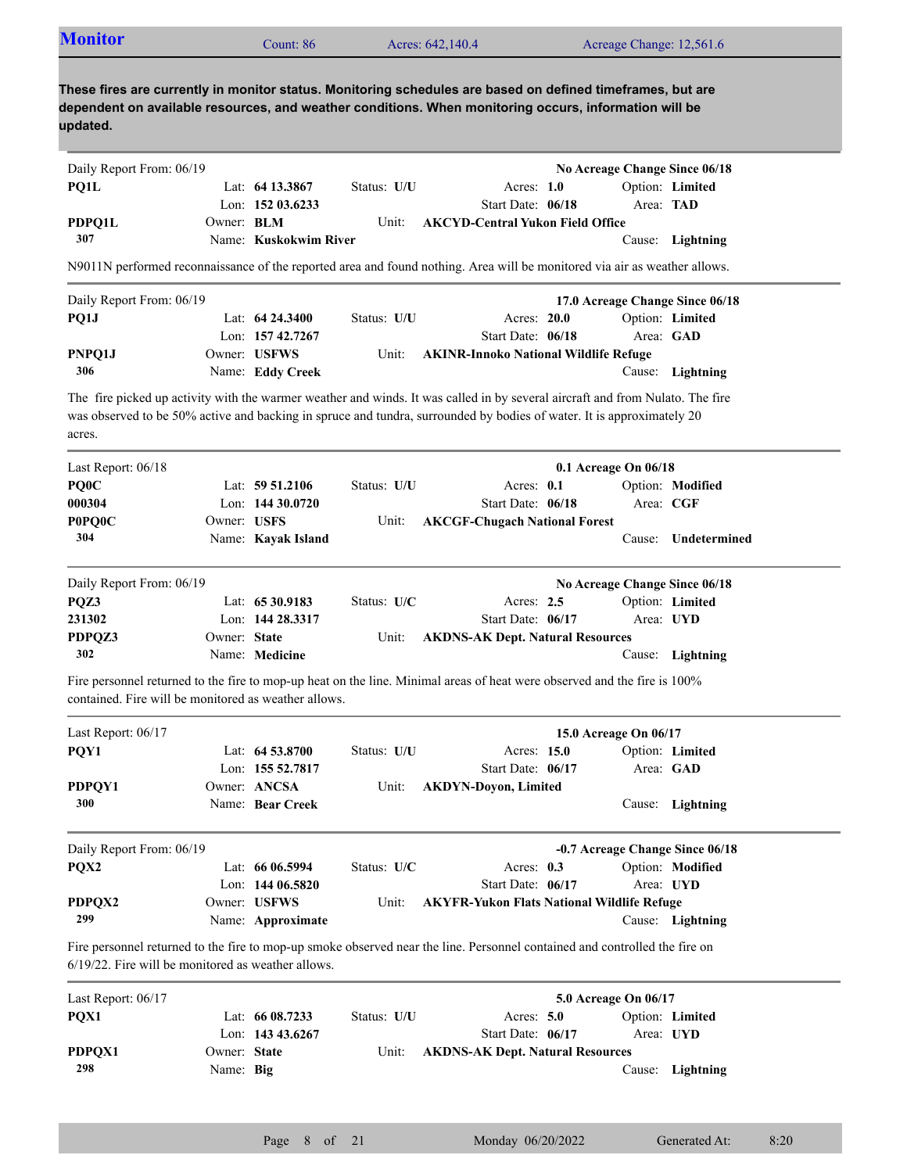| <b>Monitor</b><br>Acreage Change: 12,561.6<br>Acres: 642,140.4<br>Count: 86 |  |
|-----------------------------------------------------------------------------|--|
|-----------------------------------------------------------------------------|--|

| Daily Report From: 06/19 |                   |                       |             |                                    | No Acreage Change Since 06/18 |                  |
|--------------------------|-------------------|-----------------------|-------------|------------------------------------|-------------------------------|------------------|
| PO1L                     |                   | Lat: 64 13.3867       | Status: U/U | Acres: $1.0$                       | Option: Limited               |                  |
|                          |                   | Lon: $15203.6233$     |             | Start Date: 06/18                  | Area: TAD                     |                  |
| PDPO1L                   | Owner: <b>BLM</b> |                       | Unit:       | – AKCYD-Central Yukon Field Office |                               |                  |
| 307                      |                   | Name: Kuskokwim River |             |                                    |                               | Cause: Lightning |

N9011N performed reconnaissance of the reported area and found nothing. Area will be monitored via air as weather allows.

| Daily Report From: 06/19 |                     |             |                                             |           | 17.0 Acreage Change Since 06/18 |
|--------------------------|---------------------|-------------|---------------------------------------------|-----------|---------------------------------|
| PO1J                     | Lat: $64\,24.3400$  | Status: U/U | Acres: 20.0                                 |           | Option: Limited                 |
|                          | Lon: $157\,42.7267$ |             | Start Date: 06/18                           | Area: GAD |                                 |
| PNPO1J                   | Owner: USFWS        |             | Unit: AKINR-Innoko National Wildlife Refuge |           |                                 |
| 306                      | Name: Eddy Creek    |             |                                             |           | Cause: Lightning                |

The fire picked up activity with the warmer weather and winds. It was called in by several aircraft and from Nulato. The fire was observed to be 50% active and backing in spruce and tundra, surrounded by bodies of water. It is approximately 20 acres.

| Last Report: 06/18       |              |                    |               |                                         | $0.1$ Acreage On $06/18$      |                  |  |
|--------------------------|--------------|--------------------|---------------|-----------------------------------------|-------------------------------|------------------|--|
| PQ0C                     |              | Lat: $59\,51.2106$ | Status: U/U   | Acres: $0.1$                            |                               | Option: Modified |  |
| 000304                   |              | Lon: $14430.0720$  |               | Start Date: 06/18                       |                               | Area: CGF        |  |
| <b>POPQOC</b>            | Owner: USFS  |                    | Unit:         | <b>AKCGF-Chugach National Forest</b>    |                               |                  |  |
| 304                      |              | Name: Kayak Island |               |                                         | Cause:                        | Undetermined     |  |
| Daily Report From: 06/19 |              |                    |               |                                         | No Acreage Change Since 06/18 |                  |  |
| POZ3                     |              | Lat: 65 30.9183    | Status: $U/C$ | Acres: $2.5$                            |                               | Option: Limited  |  |
| 231302                   |              | Lon: 144 28.3317   |               | Start Date: $06/17$                     |                               | Area: UYD        |  |
| PDPOZ3                   | Owner: State |                    | Unit:         | <b>AKDNS-AK Dept. Natural Resources</b> |                               |                  |  |

Fire personnel returned to the fire to mop-up heat on the line. Minimal areas of heat were observed and the fire is 100% contained. Fire will be monitored as weather allows.

Name: **Medicine**

**302**

| Last Report: $06/17$     |                                         |               |                                                   | 15.0 Acreage On 06/17           |                              |  |
|--------------------------|-----------------------------------------|---------------|---------------------------------------------------|---------------------------------|------------------------------|--|
| POY1                     | Lat: $64\,53.8700$<br>Lon: $15552.7817$ | Status: U/U   | Acres: 15.0<br>Start Date: 06/17                  |                                 | Option: Limited<br>Area: GAD |  |
| PDPQY1<br><b>300</b>     | Owner: ANCSA<br>Name: Bear Creek        | Unit:         | <b>AKDYN-Doyon, Limited</b>                       | Cause:                          | Lightning                    |  |
| Daily Report From: 06/19 |                                         |               |                                                   | -0.7 Acreage Change Since 06/18 |                              |  |
| POX <sub>2</sub>         | Lat: 66 06.5994                         | Status: $U/C$ | Acres: $0.3$                                      |                                 | Option: Modified             |  |
|                          | Lon: $14406.5820$                       |               | Start Date: 06/17                                 |                                 | Area: UYD                    |  |
| PDPOX2                   | Owner: USFWS                            | Unit:         | <b>AKYFR-Yukon Flats National Wildlife Refuge</b> |                                 |                              |  |

Name: **Approximate** Cause: **Lightning 299**

Fire personnel returned to the fire to mop-up smoke observed near the line. Personnel contained and controlled the fire on 6/19/22. Fire will be monitored as weather allows.

| Last Report: $06/17$ |              |                     |             |                                         | 5.0 Acreage On 06/17 |                  |
|----------------------|--------------|---------------------|-------------|-----------------------------------------|----------------------|------------------|
| POX1                 |              | Lat: $6608.7233$    | Status: U/U | Acres: $5.0$                            |                      | Option: Limited  |
|                      |              | Lon: $143\,43.6267$ |             | Start Date: 06/17                       |                      | Area: UYD        |
| PDPOX1               | Owner: State |                     | Unit:       | <b>AKDNS-AK Dept. Natural Resources</b> |                      |                  |
| 298                  | Name: Big    |                     |             |                                         |                      | Cause: Lightning |
|                      |              |                     |             |                                         |                      |                  |

Cause: **Lightning**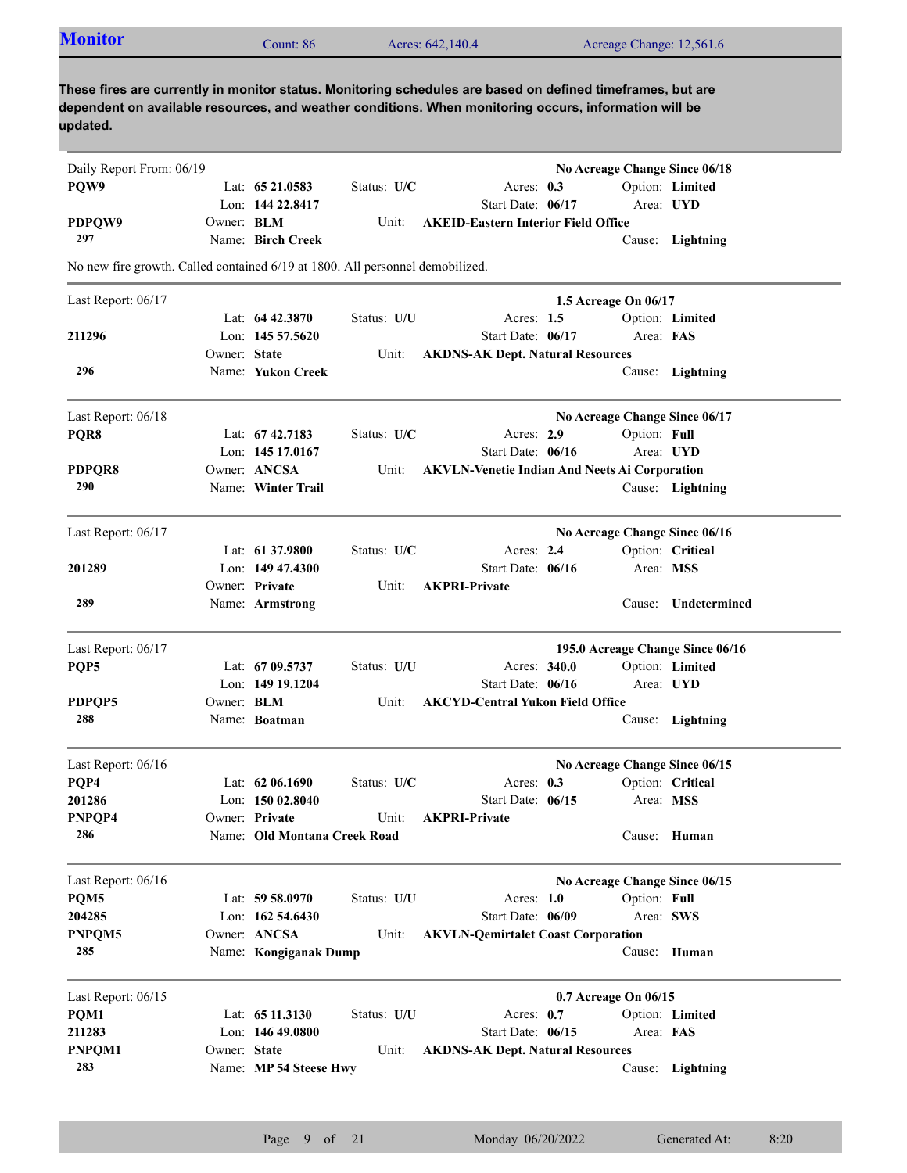| <b>Monitor</b>                                                                                                                                                                                                                  |              | Count: 86                    |             | Acres: 642,140.4                                     |              |                   | Acreage Change: 12,561.6      |                                  |
|---------------------------------------------------------------------------------------------------------------------------------------------------------------------------------------------------------------------------------|--------------|------------------------------|-------------|------------------------------------------------------|--------------|-------------------|-------------------------------|----------------------------------|
| These fires are currently in monitor status. Monitoring schedules are based on defined timeframes, but are<br>dependent on available resources, and weather conditions. When monitoring occurs, information will be<br>updated. |              |                              |             |                                                      |              |                   |                               |                                  |
| Daily Report From: 06/19                                                                                                                                                                                                        |              |                              |             |                                                      |              |                   | No Acreage Change Since 06/18 |                                  |
| PQW9                                                                                                                                                                                                                            |              | Lat: $65\,21.0583$           | Status: U/C |                                                      | Acres: $0.3$ |                   |                               | Option: Limited                  |
|                                                                                                                                                                                                                                 |              | Lon: 144 22.8417             |             | Start Date: 06/17                                    |              |                   | Area: UYD                     |                                  |
| PDPQW9                                                                                                                                                                                                                          | Owner: BLM   |                              | Unit:       | <b>AKEID-Eastern Interior Field Office</b>           |              |                   |                               |                                  |
| 297                                                                                                                                                                                                                             |              | Name: Birch Creek            |             |                                                      |              |                   |                               | Cause: Lightning                 |
| No new fire growth. Called contained 6/19 at 1800. All personnel demobilized.                                                                                                                                                   |              |                              |             |                                                      |              |                   |                               |                                  |
| Last Report: 06/17                                                                                                                                                                                                              |              |                              |             |                                                      |              |                   | 1.5 Acreage On 06/17          |                                  |
|                                                                                                                                                                                                                                 |              | Lat: 64 42.3870              | Status: U/U |                                                      | Acres: 1.5   |                   |                               | Option: Limited                  |
| 211296                                                                                                                                                                                                                          |              | Lon: 145 57.5620             |             |                                                      |              | Start Date: 06/17 | Area: FAS                     |                                  |
|                                                                                                                                                                                                                                 | Owner: State |                              | Unit:       | <b>AKDNS-AK Dept. Natural Resources</b>              |              |                   |                               |                                  |
| 296                                                                                                                                                                                                                             |              | Name: Yukon Creek            |             |                                                      |              |                   |                               | Cause: Lightning                 |
| Last Report: 06/18                                                                                                                                                                                                              |              |                              |             |                                                      |              |                   | No Acreage Change Since 06/17 |                                  |
| PQR8                                                                                                                                                                                                                            |              | Lat: $67\,42.7183$           | Status: U/C |                                                      | Acres: $2.9$ |                   | Option: Full                  |                                  |
|                                                                                                                                                                                                                                 |              | Lon: 145 17.0167             |             |                                                      |              | Start Date: 06/16 | Area: UYD                     |                                  |
| <b>PDPQR8</b>                                                                                                                                                                                                                   |              | Owner: ANCSA                 | Unit:       | <b>AKVLN-Venetie Indian And Neets Ai Corporation</b> |              |                   |                               |                                  |
| 290                                                                                                                                                                                                                             |              | Name: Winter Trail           |             |                                                      |              |                   |                               | Cause: Lightning                 |
|                                                                                                                                                                                                                                 |              |                              |             |                                                      |              |                   |                               |                                  |
| Last Report: 06/17                                                                                                                                                                                                              |              |                              |             |                                                      |              |                   | No Acreage Change Since 06/16 |                                  |
|                                                                                                                                                                                                                                 |              | Lat: 61 37.9800              | Status: U/C |                                                      | Acres: 2.4   |                   | Option: Critical              |                                  |
| 201289                                                                                                                                                                                                                          |              | Lon: $14947.4300$            |             |                                                      |              | Start Date: 06/16 | Area: MSS                     |                                  |
|                                                                                                                                                                                                                                 |              | Owner: Private               | Unit:       | <b>AKPRI-Private</b>                                 |              |                   |                               |                                  |
| 289                                                                                                                                                                                                                             |              | Name: Armstrong              |             |                                                      |              |                   |                               | Cause: Undetermined              |
| Last Report: 06/17                                                                                                                                                                                                              |              |                              |             |                                                      |              |                   |                               | 195.0 Acreage Change Since 06/16 |
| PQP5                                                                                                                                                                                                                            |              | Lat: 67 09.5737              | Status: U/U |                                                      |              | Acres: 340.0      |                               | Option: Limited                  |
|                                                                                                                                                                                                                                 |              | Lon: 149 19.1204             |             |                                                      |              | Start Date: 06/16 | Area: UYD                     |                                  |
| PDPQP5                                                                                                                                                                                                                          | Owner: BLM   |                              | Unit:       | <b>AKCYD-Central Yukon Field Office</b>              |              |                   |                               |                                  |
| 288                                                                                                                                                                                                                             |              | Name: Boatman                |             |                                                      |              |                   |                               | Cause: Lightning                 |
|                                                                                                                                                                                                                                 |              |                              |             |                                                      |              |                   |                               |                                  |
| Last Report: 06/16                                                                                                                                                                                                              |              |                              |             |                                                      |              |                   | No Acreage Change Since 06/15 |                                  |
| PQP4                                                                                                                                                                                                                            |              | Lat: 62 06.1690              | Status: U/C |                                                      | Acres: $0.3$ |                   | Option: Critical              |                                  |
| 201286                                                                                                                                                                                                                          |              | Lon: 150 02.8040             |             |                                                      |              | Start Date: 06/15 | Area: MSS                     |                                  |
| PNPQP4                                                                                                                                                                                                                          |              | Owner: Private               | Unit:       | <b>AKPRI-Private</b>                                 |              |                   |                               |                                  |
| 286                                                                                                                                                                                                                             |              | Name: Old Montana Creek Road |             |                                                      |              |                   |                               | Cause: Human                     |
| Last Report: 06/16                                                                                                                                                                                                              |              |                              |             |                                                      |              |                   | No Acreage Change Since 06/15 |                                  |
| PQM5                                                                                                                                                                                                                            |              | Lat: $59 58.0970$            | Status: U/U |                                                      | Acres: 1.0   |                   | Option: Full                  |                                  |
| 204285                                                                                                                                                                                                                          |              | Lon: $16254.6430$            |             |                                                      |              | Start Date: 06/09 | Area: SWS                     |                                  |
| PNPQM5                                                                                                                                                                                                                          |              | Owner: ANCSA                 | Unit:       | <b>AKVLN-Qemirtalet Coast Corporation</b>            |              |                   |                               |                                  |
| 285                                                                                                                                                                                                                             |              | Name: Kongiganak Dump        |             |                                                      |              |                   |                               | Cause: Human                     |
|                                                                                                                                                                                                                                 |              |                              |             |                                                      |              |                   |                               |                                  |
| Last Report: 06/15                                                                                                                                                                                                              |              |                              |             |                                                      |              |                   | 0.7 Acreage On 06/15          |                                  |
| PQM1                                                                                                                                                                                                                            |              | Lat: $6511.3130$             | Status: U/U |                                                      | Acres: $0.7$ |                   |                               | Option: Limited                  |
| 211283                                                                                                                                                                                                                          |              | Lon: $14649.0800$            |             |                                                      |              | Start Date: 06/15 | Area: FAS                     |                                  |
| PNPQM1                                                                                                                                                                                                                          | Owner: State |                              | Unit:       | <b>AKDNS-AK Dept. Natural Resources</b>              |              |                   |                               |                                  |
| 283                                                                                                                                                                                                                             |              | Name: MP 54 Steese Hwy       |             |                                                      |              |                   |                               | Cause: Lightning                 |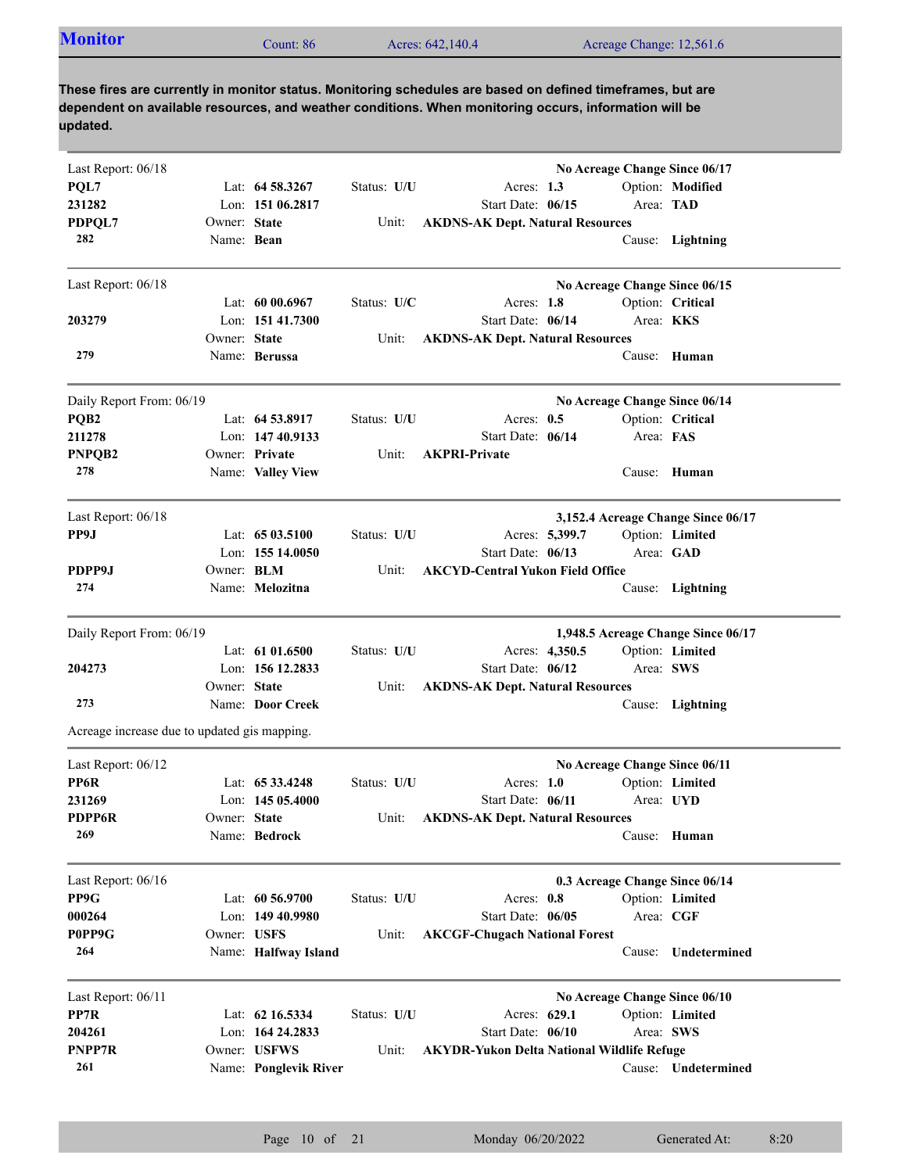|  | <b>Monitor</b><br>$\mathcal$ cunt: 86 | Acres: 642,140.4<br>Acreage Change: 12,561.6 |
|--|---------------------------------------|----------------------------------------------|
|--|---------------------------------------|----------------------------------------------|

| Last Report: 06/18                           |                   |                       |             | No Acreage Change Since 06/17                     |           |                                    |
|----------------------------------------------|-------------------|-----------------------|-------------|---------------------------------------------------|-----------|------------------------------------|
| PQL7                                         |                   | Lat: 64 58.3267       | Status: U/U | Acres: 1.3                                        |           | Option: Modified                   |
| 231282                                       |                   | Lon: 151 06.2817      |             | Start Date: 06/15                                 | Area: TAD |                                    |
| PDPQL7                                       | Owner: State      |                       | Unit:       | <b>AKDNS-AK Dept. Natural Resources</b>           |           |                                    |
| 282                                          | Name: Bean        |                       |             |                                                   |           | Cause: Lightning                   |
|                                              |                   |                       |             |                                                   |           |                                    |
| Last Report: 06/18                           |                   |                       |             | No Acreage Change Since 06/15                     |           |                                    |
|                                              |                   | Lat: $6000.6967$      | Status: U/C | Acres: 1.8                                        |           | Option: Critical                   |
| 203279                                       |                   | Lon: 151 41.7300      |             | Start Date: 06/14                                 | Area: KKS |                                    |
|                                              | Owner: State      |                       | Unit:       | <b>AKDNS-AK Dept. Natural Resources</b>           |           |                                    |
| 279                                          |                   | Name: Berussa         |             |                                                   |           | Cause: Human                       |
| Daily Report From: 06/19                     |                   |                       |             | No Acreage Change Since 06/14                     |           |                                    |
| PQB <sub>2</sub>                             |                   | Lat: 64 53.8917       | Status: U/U | Acres: $0.5$                                      |           | Option: Critical                   |
| 211278                                       |                   | Lon: 147 40.9133      |             | Start Date: 06/14                                 | Area: FAS |                                    |
| PNPQB2                                       |                   | Owner: Private        | Unit:       | <b>AKPRI-Private</b>                              |           |                                    |
| 278                                          |                   |                       |             |                                                   |           |                                    |
|                                              |                   | Name: Valley View     |             |                                                   |           | Cause: Human                       |
| Last Report: 06/18                           |                   |                       |             |                                                   |           | 3,152.4 Acreage Change Since 06/17 |
| PP9J                                         |                   | Lat: $6503.5100$      | Status: U/U | Acres: 5,399.7                                    |           | Option: Limited                    |
|                                              |                   | Lon: 155 14.0050      |             | Start Date: 06/13                                 |           | Area: GAD                          |
| PDPP9J                                       | Owner: <b>BLM</b> |                       | Unit:       | <b>AKCYD-Central Yukon Field Office</b>           |           |                                    |
| 274                                          |                   | Name: Melozitna       |             |                                                   |           | Cause: Lightning                   |
|                                              |                   |                       |             |                                                   |           |                                    |
| Daily Report From: 06/19                     |                   |                       |             |                                                   |           | 1,948.5 Acreage Change Since 06/17 |
|                                              |                   | Lat: $61\,01.6500$    | Status: U/U | Acres: 4,350.5                                    |           | Option: Limited                    |
| 204273                                       |                   | Lon: 156 12.2833      |             | Start Date: 06/12                                 | Area: SWS |                                    |
|                                              | Owner: State      |                       | Unit:       | <b>AKDNS-AK Dept. Natural Resources</b>           |           |                                    |
| 273                                          |                   | Name: Door Creek      |             |                                                   |           | Cause: Lightning                   |
| Acreage increase due to updated gis mapping. |                   |                       |             |                                                   |           |                                    |
| Last Report: 06/12                           |                   |                       |             | No Acreage Change Since 06/11                     |           |                                    |
| PP6R                                         |                   | Lat: 65 33.4248       | Status: U/U | Acres: $1.0$                                      |           | Option: Limited                    |
| 231269                                       |                   | Lon: $14505.4000$     |             | Start Date: 06/11                                 | Area: UYD |                                    |
| PDPP6R                                       | Owner: State      |                       |             | Unit: AKDNS-AK Dept. Natural Resources            |           |                                    |
| 269                                          |                   | Name: Bedrock         |             |                                                   |           | Cause: Human                       |
|                                              |                   |                       |             |                                                   |           |                                    |
| Last Report: 06/16                           |                   |                       |             | 0.3 Acreage Change Since 06/14                    |           |                                    |
| PP9G                                         |                   | Lat: 60 56.9700       | Status: U/U | Acres: 0.8                                        |           | Option: Limited                    |
| 000264                                       |                   | Lon: 149 40.9980      |             | Start Date: 06/05                                 | Area: CGF |                                    |
| P0PP9G                                       | Owner: USFS       |                       | Unit:       | <b>AKCGF-Chugach National Forest</b>              |           |                                    |
| 264                                          |                   | Name: Halfway Island  |             |                                                   | Cause:    | Undetermined                       |
|                                              |                   |                       |             |                                                   |           |                                    |
| Last Report: 06/11                           |                   |                       |             | No Acreage Change Since 06/10                     |           |                                    |
| PP7R                                         |                   | Lat: 62 16.5334       | Status: U/U | Acres: 629.1                                      |           | Option: Limited                    |
| 204261                                       |                   | Lon: 164 24.2833      |             | Start Date: 06/10                                 | Area: SWS |                                    |
| PNPP7R                                       |                   | Owner: USFWS          | Unit:       | <b>AKYDR-Yukon Delta National Wildlife Refuge</b> |           |                                    |
| 261                                          |                   | Name: Ponglevik River |             |                                                   |           | Cause: Undetermined                |
|                                              |                   |                       |             |                                                   |           |                                    |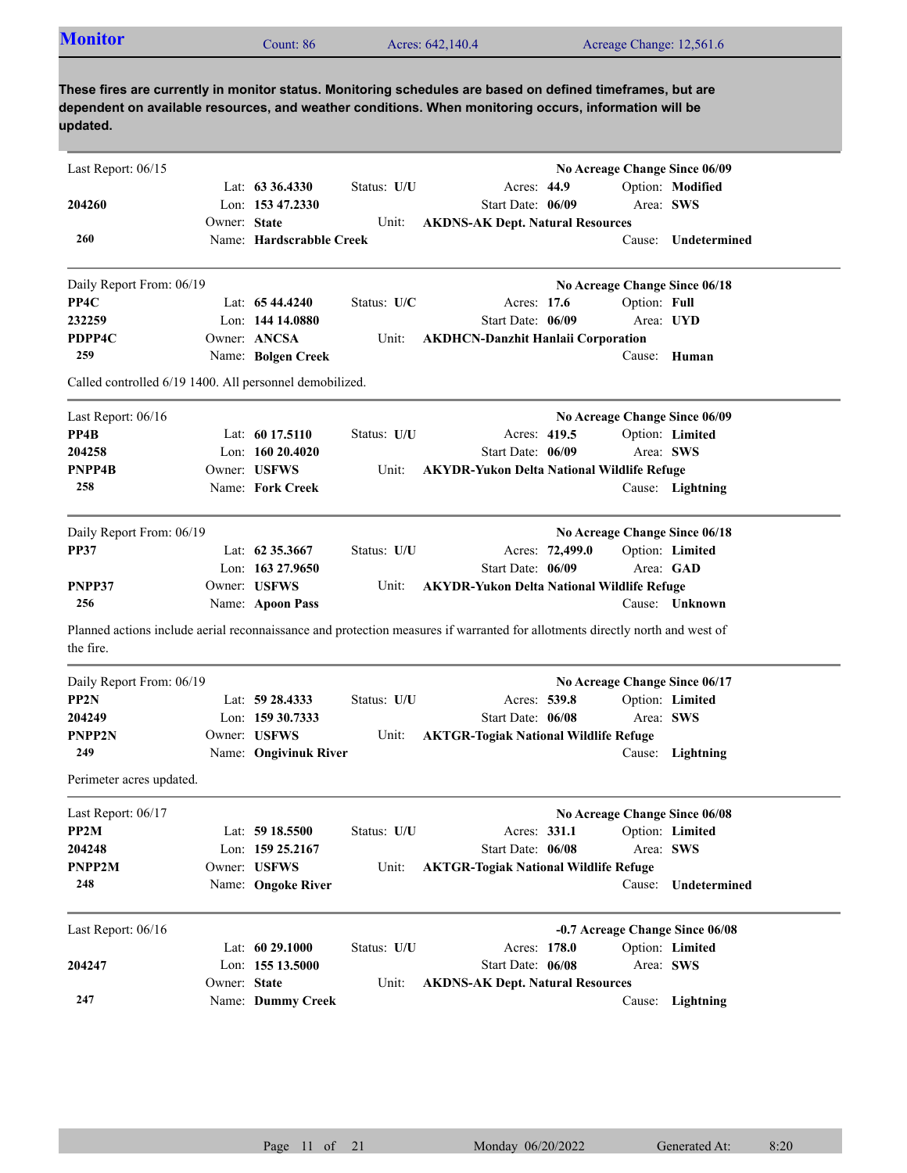| <b>Monitor</b>                                          |              | Count: 86                |               | Acres: 642,140.4                                                                                                                                                                                                    | Acreage Change: 12,561.6 |                                 |
|---------------------------------------------------------|--------------|--------------------------|---------------|---------------------------------------------------------------------------------------------------------------------------------------------------------------------------------------------------------------------|--------------------------|---------------------------------|
| updated.                                                |              |                          |               | These fires are currently in monitor status. Monitoring schedules are based on defined timeframes, but are<br>dependent on available resources, and weather conditions. When monitoring occurs, information will be |                          |                                 |
| Last Report: $06/15$                                    |              |                          |               |                                                                                                                                                                                                                     |                          | No Acreage Change Since 06/09   |
|                                                         |              | Lat: $63\,36.4330$       | Status: U/U   | Acres: $44.9$                                                                                                                                                                                                       |                          | Option: Modified                |
| 204260                                                  |              | Lon: 153 47.2330         |               | Start Date: 06/09                                                                                                                                                                                                   | Area: SWS                |                                 |
| 260                                                     | Owner: State | Name: Hardscrabble Creek | Unit:         | <b>AKDNS-AK Dept. Natural Resources</b>                                                                                                                                                                             | Cause:                   | Undetermined                    |
| Daily Report From: 06/19                                |              |                          |               |                                                                                                                                                                                                                     |                          | No Acreage Change Since 06/18   |
| PP4C                                                    |              | Lat: $6544.4240$         | Status: $U/C$ | Acres: 17.6                                                                                                                                                                                                         | Option: Full             |                                 |
| 232259                                                  |              | Lon: 144 14.0880         |               | Start Date: 06/09                                                                                                                                                                                                   | Area: UYD                |                                 |
| PDPP4C                                                  |              | Owner: ANCSA             | Unit:         | <b>AKDHCN-Danzhit Hanlaii Corporation</b>                                                                                                                                                                           |                          |                                 |
| 259                                                     |              | Name: Bolgen Creek       |               |                                                                                                                                                                                                                     |                          | Cause: Human                    |
| Called controlled 6/19 1400. All personnel demobilized. |              |                          |               |                                                                                                                                                                                                                     |                          |                                 |
| Last Report: 06/16                                      |              |                          |               |                                                                                                                                                                                                                     |                          | No Acreage Change Since 06/09   |
| PP4 <sub>B</sub>                                        |              | Lat: $6017.5110$         | Status: U/U   | Acres: 419.5                                                                                                                                                                                                        |                          | Option: Limited                 |
| 204258                                                  |              | Lon: $16020.4020$        |               | Start Date: 06/09                                                                                                                                                                                                   | Area: SWS                |                                 |
| PNPP4B                                                  |              | Owner: USFWS             | Unit:         | <b>AKYDR-Yukon Delta National Wildlife Refuge</b>                                                                                                                                                                   |                          |                                 |
| 258                                                     |              | Name: Fork Creek         |               |                                                                                                                                                                                                                     |                          | Cause: Lightning                |
| Daily Report From: 06/19                                |              |                          |               |                                                                                                                                                                                                                     |                          | No Acreage Change Since 06/18   |
| <b>PP37</b>                                             |              | Lat: $62\,35.3667$       | Status: U/U   | Acres: 72,499.0                                                                                                                                                                                                     |                          | Option: Limited                 |
|                                                         |              | Lon: $163\,27.9650$      |               | Start Date: 06/09                                                                                                                                                                                                   | Area: GAD                |                                 |
| PNPP37                                                  |              | Owner: USFWS             | Unit:         | <b>AKYDR-Yukon Delta National Wildlife Refuge</b>                                                                                                                                                                   |                          |                                 |
| 256                                                     |              | Name: Apoon Pass         |               |                                                                                                                                                                                                                     |                          | Cause: Unknown                  |
| the fire.                                               |              |                          |               | Planned actions include aerial reconnaissance and protection measures if warranted for allotments directly north and west of                                                                                        |                          |                                 |
| Daily Report From: 06/19                                |              |                          |               |                                                                                                                                                                                                                     |                          | No Acreage Change Since 06/17   |
| PP2N                                                    |              | Lat: 59 28.4333          | Status: U/U   | Acres: 539.8                                                                                                                                                                                                        |                          | Option: Limited                 |
| 204249                                                  |              | Lon: 159 30.7333         |               | Start Date: 06/08                                                                                                                                                                                                   | Area: SWS                |                                 |
| <b>PNPP2N</b>                                           |              | Owner: USFWS             | Unit:         | <b>AKTGR-Togiak National Wildlife Refuge</b>                                                                                                                                                                        |                          |                                 |
| 249                                                     |              | Name: Ongivinuk River    |               |                                                                                                                                                                                                                     |                          | Cause: Lightning                |
| Perimeter acres updated.                                |              |                          |               |                                                                                                                                                                                                                     |                          |                                 |
| Last Report: 06/17                                      |              |                          |               |                                                                                                                                                                                                                     |                          | No Acreage Change Since 06/08   |
| PP2M                                                    |              | Lat: 59 18.5500          | Status: U/U   | Acres: 331.1                                                                                                                                                                                                        |                          | Option: Limited                 |
| 204248                                                  |              | Lon: 159 25.2167         |               | Start Date: 06/08                                                                                                                                                                                                   | Area: SWS                |                                 |
| PNPP2M                                                  |              | Owner: USFWS             | Unit:         | <b>AKTGR-Togiak National Wildlife Refuge</b>                                                                                                                                                                        |                          |                                 |
| 248                                                     |              | Name: Ongoke River       |               |                                                                                                                                                                                                                     |                          | Cause: Undetermined             |
| Last Report: 06/16                                      |              |                          |               |                                                                                                                                                                                                                     |                          | -0.7 Acreage Change Since 06/08 |
|                                                         |              | Lat: 60 29.1000          | Status: U/U   | Acres: 178.0                                                                                                                                                                                                        |                          | Option: Limited                 |
| 204247                                                  |              | Lon: 155 13.5000         |               | Start Date: 06/08                                                                                                                                                                                                   | Area: SWS                |                                 |
|                                                         | Owner: State |                          | Unit:         | <b>AKDNS-AK Dept. Natural Resources</b>                                                                                                                                                                             |                          |                                 |
| 247                                                     |              | Name: Dummy Creek        |               |                                                                                                                                                                                                                     |                          | Cause: Lightning                |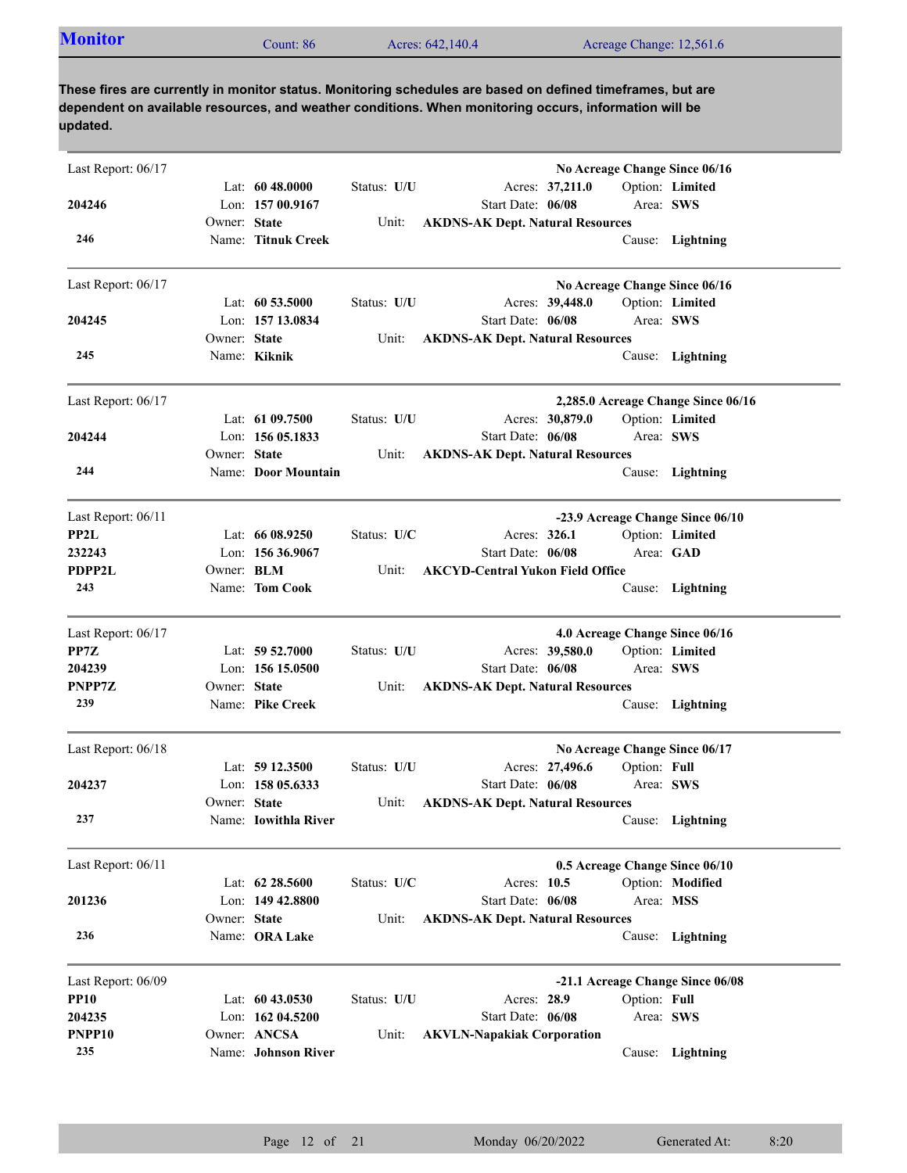| <b>Monitor</b><br>Acreage Change: 12,561.6<br>Acres: 642,140.4<br>Count: 86 |
|-----------------------------------------------------------------------------|
|-----------------------------------------------------------------------------|

| Last Report: $06/17$      |                   |                                      |             |                                                              |              | No Acreage Change Since 06/16      |
|---------------------------|-------------------|--------------------------------------|-------------|--------------------------------------------------------------|--------------|------------------------------------|
| 204246                    |                   | Lat: $6048.0000$<br>Lon: 157 00.9167 | Status: U/U | Acres: 37,211.0<br>Start Date: 06/08                         |              | Option: Limited<br>Area: SWS       |
|                           | Owner: State      |                                      | Unit:       | <b>AKDNS-AK Dept. Natural Resources</b>                      |              |                                    |
| 246                       |                   | Name: Titnuk Creek                   |             |                                                              |              | Cause: Lightning                   |
| Last Report: 06/17        |                   |                                      |             |                                                              |              | No Acreage Change Since 06/16      |
|                           |                   | Lat: $60\,53.5000$                   | Status: U/U | Acres: 39,448.0                                              |              | Option: Limited                    |
| 204245                    |                   | Lon: 157 13.0834                     |             | Start Date: 06/08                                            | Area: SWS    |                                    |
|                           | Owner: State      |                                      | Unit:       | <b>AKDNS-AK Dept. Natural Resources</b>                      |              |                                    |
| 245                       |                   | Name: Kiknik                         |             |                                                              |              | Cause: Lightning                   |
| Last Report: 06/17        |                   |                                      |             |                                                              |              | 2,285.0 Acreage Change Since 06/16 |
|                           |                   | Lat: 61 09.7500                      | Status: U/U | Acres: 30,879.0                                              |              | Option: Limited                    |
| 204244                    | Owner: State      | Lon: 156 05.1833                     |             | Start Date: 06/08                                            | Area: SWS    |                                    |
| 244                       |                   | Name: Door Mountain                  | Unit:       | <b>AKDNS-AK Dept. Natural Resources</b>                      |              | Cause: Lightning                   |
| Last Report: 06/11        |                   |                                      |             |                                                              |              | -23.9 Acreage Change Since 06/10   |
| PP2L                      |                   | Lat: $6608.9250$                     | Status: U/C | Acres: 326.1                                                 |              | Option: Limited                    |
| 232243                    |                   | Lon: $15636.9067$                    |             | Start Date: 06/08                                            |              | Area: GAD                          |
| <b>PDPP2L</b>             | Owner: <b>BLM</b> |                                      | Unit:       | <b>AKCYD-Central Yukon Field Office</b>                      |              |                                    |
| 243                       |                   | Name: Tom Cook                       |             |                                                              | Cause:       | Lightning                          |
| Last Report: 06/17        |                   |                                      |             |                                                              |              | 4.0 Acreage Change Since 06/16     |
| PP7Z                      |                   | Lat: $59\,52.7000$                   | Status: U/U | Acres: 39,580.0                                              |              | Option: Limited                    |
| 204239                    |                   | Lon: $15615.0500$                    |             | Start Date: 06/08                                            |              | Area: SWS                          |
| PNPP7Z<br>239             | Owner: State      | Name: Pike Creek                     | Unit:       | <b>AKDNS-AK Dept. Natural Resources</b>                      |              |                                    |
|                           |                   |                                      |             |                                                              |              | Cause: Lightning                   |
| Last Report: 06/18        |                   |                                      |             |                                                              |              | No Acreage Change Since 06/17      |
|                           |                   | Lat: $5912.3500$                     | Status: U/U | Acres: 27,496.6                                              | Option: Full |                                    |
| 204237                    | Owner: State      | Lon: $15805.6333$                    | Unit:       | Start Date: 06/08<br><b>AKDNS-AK Dept. Natural Resources</b> |              | Area: SWS                          |
| 237                       |                   | Name: Iowithla River                 |             |                                                              |              | Cause: Lightning                   |
| Last Report: 06/11        |                   |                                      |             |                                                              |              | 0.5 Acreage Change Since 06/10     |
|                           |                   | Lat: 62 28.5600                      | Status: U/C | Acres: 10.5                                                  |              | Option: Modified                   |
| 201236                    |                   | Lon: 149 42.8800                     |             | Start Date: 06/08                                            | Area: MSS    |                                    |
|                           | Owner: State      |                                      | Unit:       | <b>AKDNS-AK Dept. Natural Resources</b>                      |              |                                    |
| 236                       |                   | Name: ORA Lake                       |             |                                                              | Cause:       | Lightning                          |
| Last Report: 06/09        |                   |                                      |             |                                                              |              | -21.1 Acreage Change Since 06/08   |
| <b>PP10</b>               |                   | Lat: 60 43.0530                      | Status: U/U | Acres: 28.9                                                  | Option: Full |                                    |
| 204235                    |                   | Lon: 162 04.5200                     |             | Start Date: 06/08                                            |              | Area: SWS                          |
| PNPP <sub>10</sub><br>235 |                   | Owner: ANCSA                         | Unit:       | <b>AKVLN-Napakiak Corporation</b>                            |              |                                    |
|                           |                   | Name: Johnson River                  |             |                                                              |              | Cause: Lightning                   |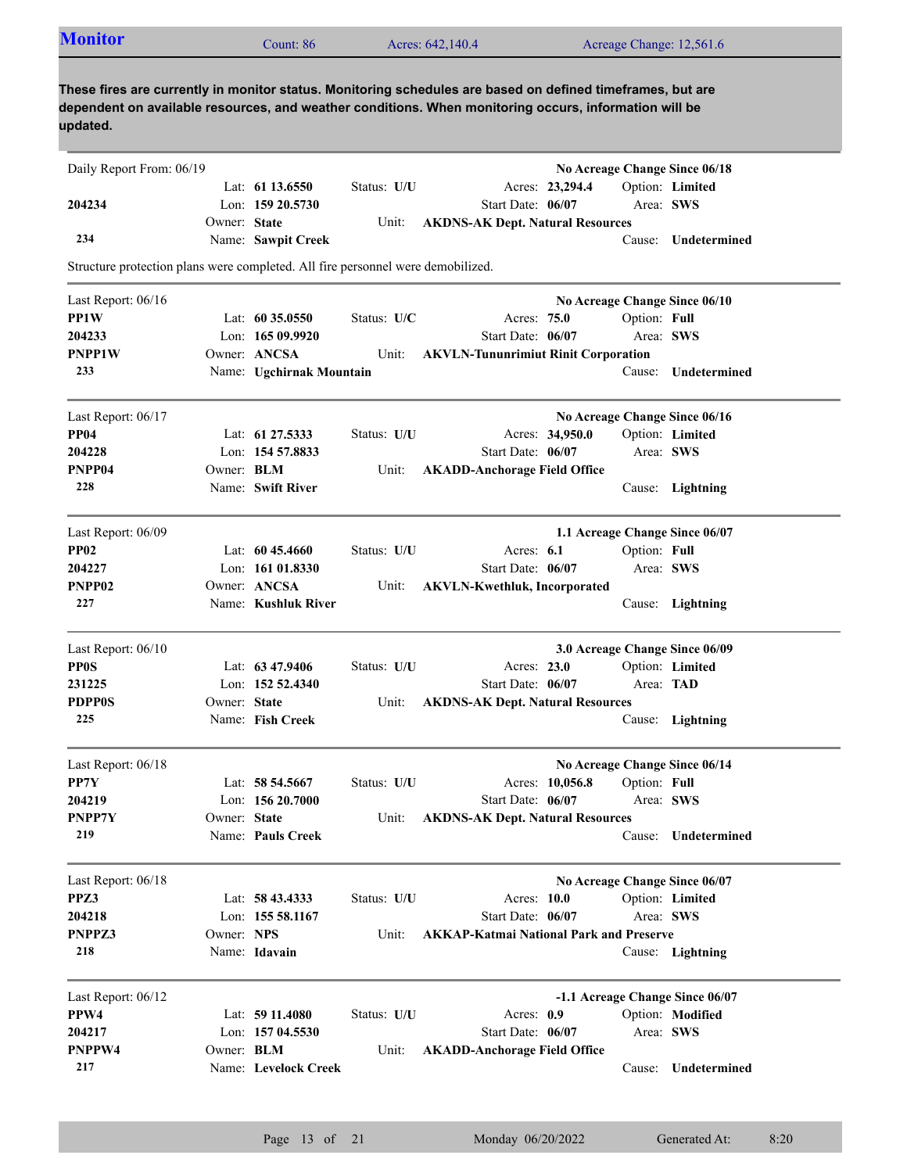| These fires are currently in monitor status. Monitoring schedules are based on defined timeframes, but are<br>dependent on available resources, and weather conditions. When monitoring occurs, information will be<br>updated.<br>Daily Report From: 06/19<br>No Acreage Change Since 06/18<br>Option: Limited<br>Lat: $61\,13.6550$<br>Status: U/U<br>Acres: 23,294.4<br>Lon: 159 20.5730<br>Start Date: 06/07<br>Area: SWS<br>204234<br>Owner: State<br>Unit:<br><b>AKDNS-AK Dept. Natural Resources</b><br>234<br>Name: Sawpit Creek<br>Cause:<br>Structure protection plans were completed. All fire personnel were demobilized.<br>Last Report: 06/16<br>No Acreage Change Since 06/10<br>PP1W<br>Lat: $6035.0550$<br>Status: U/C<br>Acres: 75.0<br>Option: Full<br>204233<br>Lon: $16509.9920$<br>Start Date: 06/07<br>Area: SWS<br><b>PNPP1W</b><br>Owner: ANCSA<br><b>AKVLN-Tununrimiut Rinit Corporation</b><br>Unit:<br>233<br>Name: Ugchirnak Mountain<br>Cause: Undetermined<br>Last Report: 06/17<br>No Acreage Change Since 06/16<br><b>PP04</b><br>Lat: 61 27.5333<br>Status: U/U<br>Acres: 34,950.0<br>Option: Limited<br>Lon: 154 57.8833<br>Start Date: 06/07<br>Area: SWS<br>204228<br>PNPP04<br>Owner: BLM<br><b>AKADD-Anchorage Field Office</b><br>Unit:<br>228<br>Name: Swift River<br>Cause: Lightning<br>Last Report: 06/09<br>1.1 Acreage Change Since 06/07<br><b>PP02</b><br>Lat: $6045.4660$<br>Status: U/U<br>Acres: 6.1<br>Option: Full<br>204227<br>Lon: 161 01.8330<br>Start Date: 06/07<br>Area: SWS<br>PNPP <sub>02</sub><br>Owner: ANCSA<br>Unit:<br><b>AKVLN-Kwethluk, Incorporated</b><br>227<br>Name: Kushluk River<br>Cause: Lightning<br>Last Report: 06/10<br>3.0 Acreage Change Since 06/09<br><b>PP0S</b><br>Lat: $63\,47.9406$<br>Status: U/U<br>Acres: 23.0<br>Option: Limited<br>231225<br>Lon: 152 52.4340<br>Start Date: 06/07<br>Area: <b>TAD</b><br><b>PDPP0S</b><br>Owner: State<br><b>AKDNS-AK Dept. Natural Resources</b><br>Unit:<br>225<br>Name: Fish Creek<br>Cause: Lightning<br>No Acreage Change Since 06/14<br>Last Report: 06/18<br>PP7Y<br>Option: Full<br>Lat: 58 54.5667<br>Status: U/U<br>Acres: 10,056.8<br>204219<br>Lon: $15620.7000$<br>Start Date: 06/07<br>Area: SWS<br>Owner: State<br>PNPP7Y<br>Unit:<br><b>AKDNS-AK Dept. Natural Resources</b><br>219<br>Name: Pauls Creek<br>Cause:<br>Last Report: 06/18<br>No Acreage Change Since 06/07<br>PPZ3<br>Lat: 58 43.4333<br>Status: U/U<br>Acres: 10.0<br>Option: Limited<br>204218<br>Lon: 155 58.1167<br>Start Date: 06/07<br>Area: SWS<br>Owner: NPS<br>PNPPZ3<br><b>AKKAP-Katmai National Park and Preserve</b><br>Unit: | <b>Monitor</b> | Count: 86 | Acres: 642,140.4 |  | Acreage Change: 12,561.6 |
|---------------------------------------------------------------------------------------------------------------------------------------------------------------------------------------------------------------------------------------------------------------------------------------------------------------------------------------------------------------------------------------------------------------------------------------------------------------------------------------------------------------------------------------------------------------------------------------------------------------------------------------------------------------------------------------------------------------------------------------------------------------------------------------------------------------------------------------------------------------------------------------------------------------------------------------------------------------------------------------------------------------------------------------------------------------------------------------------------------------------------------------------------------------------------------------------------------------------------------------------------------------------------------------------------------------------------------------------------------------------------------------------------------------------------------------------------------------------------------------------------------------------------------------------------------------------------------------------------------------------------------------------------------------------------------------------------------------------------------------------------------------------------------------------------------------------------------------------------------------------------------------------------------------------------------------------------------------------------------------------------------------------------------------------------------------------------------------------------------------------------------------------------------------------------------------------------------------------------------------------------------------------------------------------------------------------------------------------------------------------------------------------------------------------------------------------------------------------------------------------------------------------------------------------------------------------------------------------------------------------------------------------------------|----------------|-----------|------------------|--|--------------------------|
|                                                                                                                                                                                                                                                                                                                                                                                                                                                                                                                                                                                                                                                                                                                                                                                                                                                                                                                                                                                                                                                                                                                                                                                                                                                                                                                                                                                                                                                                                                                                                                                                                                                                                                                                                                                                                                                                                                                                                                                                                                                                                                                                                                                                                                                                                                                                                                                                                                                                                                                                                                                                                                                         |                |           |                  |  |                          |
|                                                                                                                                                                                                                                                                                                                                                                                                                                                                                                                                                                                                                                                                                                                                                                                                                                                                                                                                                                                                                                                                                                                                                                                                                                                                                                                                                                                                                                                                                                                                                                                                                                                                                                                                                                                                                                                                                                                                                                                                                                                                                                                                                                                                                                                                                                                                                                                                                                                                                                                                                                                                                                                         |                |           |                  |  |                          |
|                                                                                                                                                                                                                                                                                                                                                                                                                                                                                                                                                                                                                                                                                                                                                                                                                                                                                                                                                                                                                                                                                                                                                                                                                                                                                                                                                                                                                                                                                                                                                                                                                                                                                                                                                                                                                                                                                                                                                                                                                                                                                                                                                                                                                                                                                                                                                                                                                                                                                                                                                                                                                                                         |                |           |                  |  |                          |
|                                                                                                                                                                                                                                                                                                                                                                                                                                                                                                                                                                                                                                                                                                                                                                                                                                                                                                                                                                                                                                                                                                                                                                                                                                                                                                                                                                                                                                                                                                                                                                                                                                                                                                                                                                                                                                                                                                                                                                                                                                                                                                                                                                                                                                                                                                                                                                                                                                                                                                                                                                                                                                                         |                |           |                  |  |                          |
|                                                                                                                                                                                                                                                                                                                                                                                                                                                                                                                                                                                                                                                                                                                                                                                                                                                                                                                                                                                                                                                                                                                                                                                                                                                                                                                                                                                                                                                                                                                                                                                                                                                                                                                                                                                                                                                                                                                                                                                                                                                                                                                                                                                                                                                                                                                                                                                                                                                                                                                                                                                                                                                         |                |           |                  |  |                          |
|                                                                                                                                                                                                                                                                                                                                                                                                                                                                                                                                                                                                                                                                                                                                                                                                                                                                                                                                                                                                                                                                                                                                                                                                                                                                                                                                                                                                                                                                                                                                                                                                                                                                                                                                                                                                                                                                                                                                                                                                                                                                                                                                                                                                                                                                                                                                                                                                                                                                                                                                                                                                                                                         |                |           |                  |  | Undetermined             |
|                                                                                                                                                                                                                                                                                                                                                                                                                                                                                                                                                                                                                                                                                                                                                                                                                                                                                                                                                                                                                                                                                                                                                                                                                                                                                                                                                                                                                                                                                                                                                                                                                                                                                                                                                                                                                                                                                                                                                                                                                                                                                                                                                                                                                                                                                                                                                                                                                                                                                                                                                                                                                                                         |                |           |                  |  |                          |
|                                                                                                                                                                                                                                                                                                                                                                                                                                                                                                                                                                                                                                                                                                                                                                                                                                                                                                                                                                                                                                                                                                                                                                                                                                                                                                                                                                                                                                                                                                                                                                                                                                                                                                                                                                                                                                                                                                                                                                                                                                                                                                                                                                                                                                                                                                                                                                                                                                                                                                                                                                                                                                                         |                |           |                  |  |                          |
|                                                                                                                                                                                                                                                                                                                                                                                                                                                                                                                                                                                                                                                                                                                                                                                                                                                                                                                                                                                                                                                                                                                                                                                                                                                                                                                                                                                                                                                                                                                                                                                                                                                                                                                                                                                                                                                                                                                                                                                                                                                                                                                                                                                                                                                                                                                                                                                                                                                                                                                                                                                                                                                         |                |           |                  |  |                          |
|                                                                                                                                                                                                                                                                                                                                                                                                                                                                                                                                                                                                                                                                                                                                                                                                                                                                                                                                                                                                                                                                                                                                                                                                                                                                                                                                                                                                                                                                                                                                                                                                                                                                                                                                                                                                                                                                                                                                                                                                                                                                                                                                                                                                                                                                                                                                                                                                                                                                                                                                                                                                                                                         |                |           |                  |  |                          |
|                                                                                                                                                                                                                                                                                                                                                                                                                                                                                                                                                                                                                                                                                                                                                                                                                                                                                                                                                                                                                                                                                                                                                                                                                                                                                                                                                                                                                                                                                                                                                                                                                                                                                                                                                                                                                                                                                                                                                                                                                                                                                                                                                                                                                                                                                                                                                                                                                                                                                                                                                                                                                                                         |                |           |                  |  |                          |
|                                                                                                                                                                                                                                                                                                                                                                                                                                                                                                                                                                                                                                                                                                                                                                                                                                                                                                                                                                                                                                                                                                                                                                                                                                                                                                                                                                                                                                                                                                                                                                                                                                                                                                                                                                                                                                                                                                                                                                                                                                                                                                                                                                                                                                                                                                                                                                                                                                                                                                                                                                                                                                                         |                |           |                  |  |                          |
|                                                                                                                                                                                                                                                                                                                                                                                                                                                                                                                                                                                                                                                                                                                                                                                                                                                                                                                                                                                                                                                                                                                                                                                                                                                                                                                                                                                                                                                                                                                                                                                                                                                                                                                                                                                                                                                                                                                                                                                                                                                                                                                                                                                                                                                                                                                                                                                                                                                                                                                                                                                                                                                         |                |           |                  |  |                          |
|                                                                                                                                                                                                                                                                                                                                                                                                                                                                                                                                                                                                                                                                                                                                                                                                                                                                                                                                                                                                                                                                                                                                                                                                                                                                                                                                                                                                                                                                                                                                                                                                                                                                                                                                                                                                                                                                                                                                                                                                                                                                                                                                                                                                                                                                                                                                                                                                                                                                                                                                                                                                                                                         |                |           |                  |  |                          |
|                                                                                                                                                                                                                                                                                                                                                                                                                                                                                                                                                                                                                                                                                                                                                                                                                                                                                                                                                                                                                                                                                                                                                                                                                                                                                                                                                                                                                                                                                                                                                                                                                                                                                                                                                                                                                                                                                                                                                                                                                                                                                                                                                                                                                                                                                                                                                                                                                                                                                                                                                                                                                                                         |                |           |                  |  |                          |
|                                                                                                                                                                                                                                                                                                                                                                                                                                                                                                                                                                                                                                                                                                                                                                                                                                                                                                                                                                                                                                                                                                                                                                                                                                                                                                                                                                                                                                                                                                                                                                                                                                                                                                                                                                                                                                                                                                                                                                                                                                                                                                                                                                                                                                                                                                                                                                                                                                                                                                                                                                                                                                                         |                |           |                  |  |                          |
|                                                                                                                                                                                                                                                                                                                                                                                                                                                                                                                                                                                                                                                                                                                                                                                                                                                                                                                                                                                                                                                                                                                                                                                                                                                                                                                                                                                                                                                                                                                                                                                                                                                                                                                                                                                                                                                                                                                                                                                                                                                                                                                                                                                                                                                                                                                                                                                                                                                                                                                                                                                                                                                         |                |           |                  |  |                          |
|                                                                                                                                                                                                                                                                                                                                                                                                                                                                                                                                                                                                                                                                                                                                                                                                                                                                                                                                                                                                                                                                                                                                                                                                                                                                                                                                                                                                                                                                                                                                                                                                                                                                                                                                                                                                                                                                                                                                                                                                                                                                                                                                                                                                                                                                                                                                                                                                                                                                                                                                                                                                                                                         |                |           |                  |  |                          |
|                                                                                                                                                                                                                                                                                                                                                                                                                                                                                                                                                                                                                                                                                                                                                                                                                                                                                                                                                                                                                                                                                                                                                                                                                                                                                                                                                                                                                                                                                                                                                                                                                                                                                                                                                                                                                                                                                                                                                                                                                                                                                                                                                                                                                                                                                                                                                                                                                                                                                                                                                                                                                                                         |                |           |                  |  |                          |
|                                                                                                                                                                                                                                                                                                                                                                                                                                                                                                                                                                                                                                                                                                                                                                                                                                                                                                                                                                                                                                                                                                                                                                                                                                                                                                                                                                                                                                                                                                                                                                                                                                                                                                                                                                                                                                                                                                                                                                                                                                                                                                                                                                                                                                                                                                                                                                                                                                                                                                                                                                                                                                                         |                |           |                  |  |                          |
|                                                                                                                                                                                                                                                                                                                                                                                                                                                                                                                                                                                                                                                                                                                                                                                                                                                                                                                                                                                                                                                                                                                                                                                                                                                                                                                                                                                                                                                                                                                                                                                                                                                                                                                                                                                                                                                                                                                                                                                                                                                                                                                                                                                                                                                                                                                                                                                                                                                                                                                                                                                                                                                         |                |           |                  |  |                          |
|                                                                                                                                                                                                                                                                                                                                                                                                                                                                                                                                                                                                                                                                                                                                                                                                                                                                                                                                                                                                                                                                                                                                                                                                                                                                                                                                                                                                                                                                                                                                                                                                                                                                                                                                                                                                                                                                                                                                                                                                                                                                                                                                                                                                                                                                                                                                                                                                                                                                                                                                                                                                                                                         |                |           |                  |  |                          |
|                                                                                                                                                                                                                                                                                                                                                                                                                                                                                                                                                                                                                                                                                                                                                                                                                                                                                                                                                                                                                                                                                                                                                                                                                                                                                                                                                                                                                                                                                                                                                                                                                                                                                                                                                                                                                                                                                                                                                                                                                                                                                                                                                                                                                                                                                                                                                                                                                                                                                                                                                                                                                                                         |                |           |                  |  |                          |
|                                                                                                                                                                                                                                                                                                                                                                                                                                                                                                                                                                                                                                                                                                                                                                                                                                                                                                                                                                                                                                                                                                                                                                                                                                                                                                                                                                                                                                                                                                                                                                                                                                                                                                                                                                                                                                                                                                                                                                                                                                                                                                                                                                                                                                                                                                                                                                                                                                                                                                                                                                                                                                                         |                |           |                  |  |                          |
|                                                                                                                                                                                                                                                                                                                                                                                                                                                                                                                                                                                                                                                                                                                                                                                                                                                                                                                                                                                                                                                                                                                                                                                                                                                                                                                                                                                                                                                                                                                                                                                                                                                                                                                                                                                                                                                                                                                                                                                                                                                                                                                                                                                                                                                                                                                                                                                                                                                                                                                                                                                                                                                         |                |           |                  |  |                          |
|                                                                                                                                                                                                                                                                                                                                                                                                                                                                                                                                                                                                                                                                                                                                                                                                                                                                                                                                                                                                                                                                                                                                                                                                                                                                                                                                                                                                                                                                                                                                                                                                                                                                                                                                                                                                                                                                                                                                                                                                                                                                                                                                                                                                                                                                                                                                                                                                                                                                                                                                                                                                                                                         |                |           |                  |  |                          |
|                                                                                                                                                                                                                                                                                                                                                                                                                                                                                                                                                                                                                                                                                                                                                                                                                                                                                                                                                                                                                                                                                                                                                                                                                                                                                                                                                                                                                                                                                                                                                                                                                                                                                                                                                                                                                                                                                                                                                                                                                                                                                                                                                                                                                                                                                                                                                                                                                                                                                                                                                                                                                                                         |                |           |                  |  |                          |
|                                                                                                                                                                                                                                                                                                                                                                                                                                                                                                                                                                                                                                                                                                                                                                                                                                                                                                                                                                                                                                                                                                                                                                                                                                                                                                                                                                                                                                                                                                                                                                                                                                                                                                                                                                                                                                                                                                                                                                                                                                                                                                                                                                                                                                                                                                                                                                                                                                                                                                                                                                                                                                                         |                |           |                  |  |                          |
|                                                                                                                                                                                                                                                                                                                                                                                                                                                                                                                                                                                                                                                                                                                                                                                                                                                                                                                                                                                                                                                                                                                                                                                                                                                                                                                                                                                                                                                                                                                                                                                                                                                                                                                                                                                                                                                                                                                                                                                                                                                                                                                                                                                                                                                                                                                                                                                                                                                                                                                                                                                                                                                         |                |           |                  |  |                          |
|                                                                                                                                                                                                                                                                                                                                                                                                                                                                                                                                                                                                                                                                                                                                                                                                                                                                                                                                                                                                                                                                                                                                                                                                                                                                                                                                                                                                                                                                                                                                                                                                                                                                                                                                                                                                                                                                                                                                                                                                                                                                                                                                                                                                                                                                                                                                                                                                                                                                                                                                                                                                                                                         |                |           |                  |  |                          |
|                                                                                                                                                                                                                                                                                                                                                                                                                                                                                                                                                                                                                                                                                                                                                                                                                                                                                                                                                                                                                                                                                                                                                                                                                                                                                                                                                                                                                                                                                                                                                                                                                                                                                                                                                                                                                                                                                                                                                                                                                                                                                                                                                                                                                                                                                                                                                                                                                                                                                                                                                                                                                                                         |                |           |                  |  |                          |
|                                                                                                                                                                                                                                                                                                                                                                                                                                                                                                                                                                                                                                                                                                                                                                                                                                                                                                                                                                                                                                                                                                                                                                                                                                                                                                                                                                                                                                                                                                                                                                                                                                                                                                                                                                                                                                                                                                                                                                                                                                                                                                                                                                                                                                                                                                                                                                                                                                                                                                                                                                                                                                                         |                |           |                  |  | Undetermined             |
|                                                                                                                                                                                                                                                                                                                                                                                                                                                                                                                                                                                                                                                                                                                                                                                                                                                                                                                                                                                                                                                                                                                                                                                                                                                                                                                                                                                                                                                                                                                                                                                                                                                                                                                                                                                                                                                                                                                                                                                                                                                                                                                                                                                                                                                                                                                                                                                                                                                                                                                                                                                                                                                         |                |           |                  |  |                          |
|                                                                                                                                                                                                                                                                                                                                                                                                                                                                                                                                                                                                                                                                                                                                                                                                                                                                                                                                                                                                                                                                                                                                                                                                                                                                                                                                                                                                                                                                                                                                                                                                                                                                                                                                                                                                                                                                                                                                                                                                                                                                                                                                                                                                                                                                                                                                                                                                                                                                                                                                                                                                                                                         |                |           |                  |  |                          |
|                                                                                                                                                                                                                                                                                                                                                                                                                                                                                                                                                                                                                                                                                                                                                                                                                                                                                                                                                                                                                                                                                                                                                                                                                                                                                                                                                                                                                                                                                                                                                                                                                                                                                                                                                                                                                                                                                                                                                                                                                                                                                                                                                                                                                                                                                                                                                                                                                                                                                                                                                                                                                                                         |                |           |                  |  |                          |
|                                                                                                                                                                                                                                                                                                                                                                                                                                                                                                                                                                                                                                                                                                                                                                                                                                                                                                                                                                                                                                                                                                                                                                                                                                                                                                                                                                                                                                                                                                                                                                                                                                                                                                                                                                                                                                                                                                                                                                                                                                                                                                                                                                                                                                                                                                                                                                                                                                                                                                                                                                                                                                                         |                |           |                  |  |                          |
| Name: Idavain                                                                                                                                                                                                                                                                                                                                                                                                                                                                                                                                                                                                                                                                                                                                                                                                                                                                                                                                                                                                                                                                                                                                                                                                                                                                                                                                                                                                                                                                                                                                                                                                                                                                                                                                                                                                                                                                                                                                                                                                                                                                                                                                                                                                                                                                                                                                                                                                                                                                                                                                                                                                                                           | 218            |           |                  |  | Cause: Lightning         |
| -1.1 Acreage Change Since 06/07<br>Last Report: 06/12                                                                                                                                                                                                                                                                                                                                                                                                                                                                                                                                                                                                                                                                                                                                                                                                                                                                                                                                                                                                                                                                                                                                                                                                                                                                                                                                                                                                                                                                                                                                                                                                                                                                                                                                                                                                                                                                                                                                                                                                                                                                                                                                                                                                                                                                                                                                                                                                                                                                                                                                                                                                   |                |           |                  |  |                          |
| PPW4<br>Lat: $5911.4080$<br>Status: U/U<br>Acres: 0.9<br>Option: Modified                                                                                                                                                                                                                                                                                                                                                                                                                                                                                                                                                                                                                                                                                                                                                                                                                                                                                                                                                                                                                                                                                                                                                                                                                                                                                                                                                                                                                                                                                                                                                                                                                                                                                                                                                                                                                                                                                                                                                                                                                                                                                                                                                                                                                                                                                                                                                                                                                                                                                                                                                                               |                |           |                  |  |                          |
| Lon: 157 04.5530<br>Start Date: 06/07<br>Area: SWS<br>204217                                                                                                                                                                                                                                                                                                                                                                                                                                                                                                                                                                                                                                                                                                                                                                                                                                                                                                                                                                                                                                                                                                                                                                                                                                                                                                                                                                                                                                                                                                                                                                                                                                                                                                                                                                                                                                                                                                                                                                                                                                                                                                                                                                                                                                                                                                                                                                                                                                                                                                                                                                                            |                |           |                  |  |                          |
| PNPPW4<br>Owner: BLM<br>Unit:<br><b>AKADD-Anchorage Field Office</b>                                                                                                                                                                                                                                                                                                                                                                                                                                                                                                                                                                                                                                                                                                                                                                                                                                                                                                                                                                                                                                                                                                                                                                                                                                                                                                                                                                                                                                                                                                                                                                                                                                                                                                                                                                                                                                                                                                                                                                                                                                                                                                                                                                                                                                                                                                                                                                                                                                                                                                                                                                                    |                |           |                  |  |                          |
| 217<br>Name: Levelock Creek<br>Cause:                                                                                                                                                                                                                                                                                                                                                                                                                                                                                                                                                                                                                                                                                                                                                                                                                                                                                                                                                                                                                                                                                                                                                                                                                                                                                                                                                                                                                                                                                                                                                                                                                                                                                                                                                                                                                                                                                                                                                                                                                                                                                                                                                                                                                                                                                                                                                                                                                                                                                                                                                                                                                   |                |           |                  |  | Undetermined             |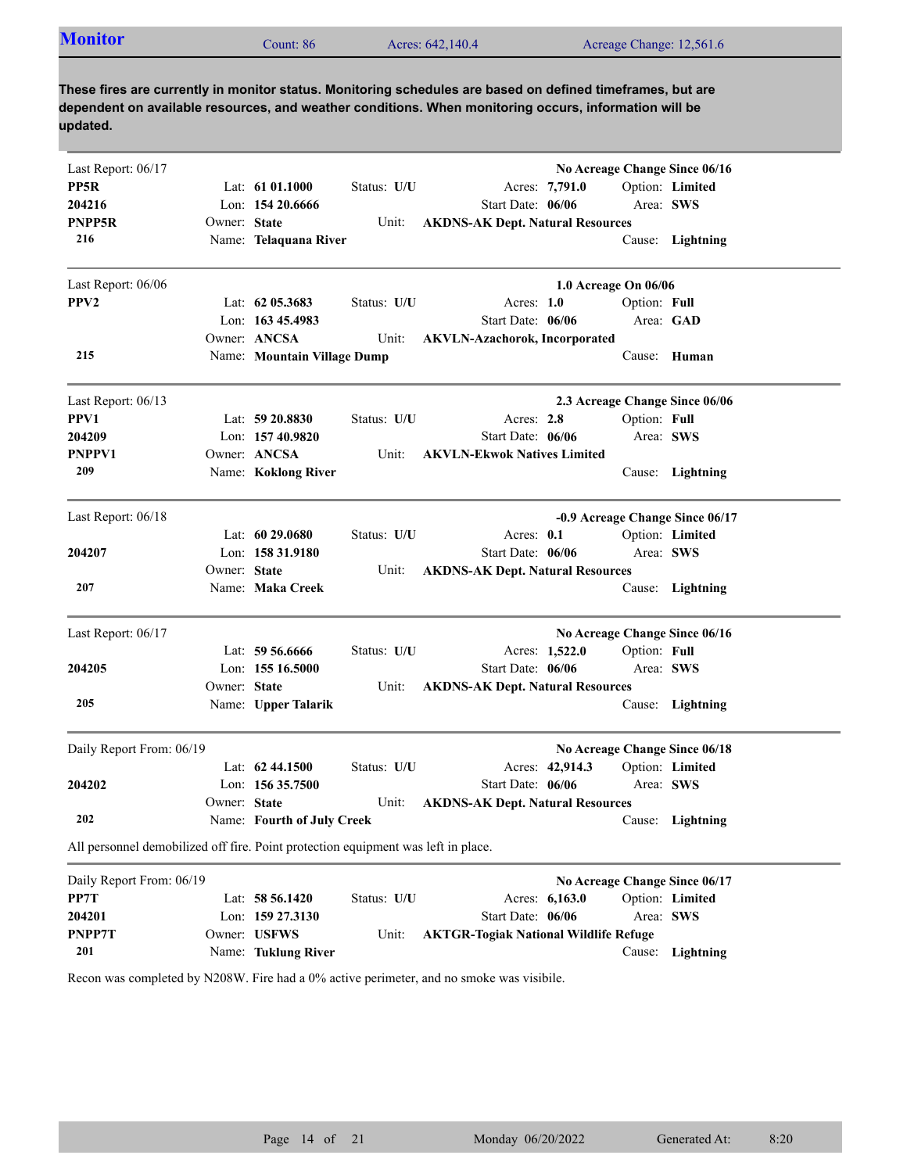| <b>Monitor</b> | Count: 86 | Acres: 642,140.4 | Acreage Change: 12,561.6 |
|----------------|-----------|------------------|--------------------------|
|                |           |                  |                          |

| Last Report: 06/17<br>PP5R<br>204216<br>PNPP5R<br>216                             | Owner: State | Lat: $6101.1000$<br>Lon: 154 20.6666<br>Name: Telaquana River | Status: U/U<br>Unit: | Start Date: 06/06<br><b>AKDNS-AK Dept. Natural Resources</b> | Acres: 7,791.0       | Area: SWS    | No Acreage Change Since 06/16<br>Option: Limited<br>Cause: Lightning |
|-----------------------------------------------------------------------------------|--------------|---------------------------------------------------------------|----------------------|--------------------------------------------------------------|----------------------|--------------|----------------------------------------------------------------------|
| Last Report: 06/06                                                                |              |                                                               |                      |                                                              | 1.0 Acreage On 06/06 |              |                                                                      |
| PPV <sub>2</sub>                                                                  |              | Lat: $62\,05.3683$                                            | Status: U/U          | Acres: $1.0$                                                 |                      | Option: Full |                                                                      |
|                                                                                   |              | Lon: $16345.4983$                                             |                      | Start Date: 06/06                                            |                      | Area: GAD    |                                                                      |
|                                                                                   |              | Owner: ANCSA                                                  | Unit:                | <b>AKVLN-Azachorok, Incorporated</b>                         |                      |              |                                                                      |
| 215                                                                               |              | Name: Mountain Village Dump                                   |                      |                                                              |                      |              | Cause: Human                                                         |
| Last Report: 06/13                                                                |              |                                                               |                      |                                                              |                      |              | 2.3 Acreage Change Since 06/06                                       |
| PPV1                                                                              |              | Lat: $59\,20.8830$                                            | Status: U/U          | Acres: 2.8                                                   |                      | Option: Full |                                                                      |
| 204209                                                                            |              | Lon: 157 40.9820                                              |                      | Start Date: 06/06                                            |                      | Area: SWS    |                                                                      |
| PNPPV1                                                                            |              | Owner: ANCSA                                                  | Unit:                | <b>AKVLN-Ekwok Natives Limited</b>                           |                      |              |                                                                      |
| 209                                                                               |              | Name: Koklong River                                           |                      |                                                              |                      |              | Cause: Lightning                                                     |
| Last Report: 06/18                                                                |              |                                                               |                      |                                                              |                      |              | -0.9 Acreage Change Since 06/17                                      |
|                                                                                   |              | Lat: $6029.0680$                                              | Status: U/U          | Acres: $0.1$                                                 |                      |              | Option: Limited                                                      |
| 204207                                                                            |              | Lon: 158 31.9180                                              |                      | Start Date: 06/06                                            |                      | Area: SWS    |                                                                      |
|                                                                                   | Owner: State |                                                               | Unit:                | <b>AKDNS-AK Dept. Natural Resources</b>                      |                      |              |                                                                      |
| 207                                                                               |              | Name: Maka Creek                                              |                      |                                                              |                      |              | Cause: Lightning                                                     |
| Last Report: 06/17                                                                |              |                                                               |                      |                                                              |                      |              | No Acreage Change Since 06/16                                        |
|                                                                                   |              | Lat: 59 56.6666                                               | Status: U/U          |                                                              | Acres: 1,522.0       | Option: Full |                                                                      |
| 204205                                                                            |              | Lon: $15516.5000$                                             |                      | Start Date: 06/06                                            |                      |              | Area: SWS                                                            |
|                                                                                   | Owner: State |                                                               | Unit:                | <b>AKDNS-AK Dept. Natural Resources</b>                      |                      |              |                                                                      |
| 205                                                                               |              | Name: Upper Talarik                                           |                      |                                                              |                      |              | Cause: Lightning                                                     |
| Daily Report From: 06/19                                                          |              |                                                               |                      |                                                              |                      |              | No Acreage Change Since 06/18                                        |
|                                                                                   |              | Lat: $62\,44.1500$                                            | Status: U/U          |                                                              | Acres: 42,914.3      |              | Option: Limited                                                      |
| 204202                                                                            |              | Lon: $15635.7500$                                             |                      | Start Date: 06/06                                            |                      |              | Area: SWS                                                            |
|                                                                                   | Owner: State |                                                               | Unit:                | <b>AKDNS-AK Dept. Natural Resources</b>                      |                      |              |                                                                      |
| 202                                                                               |              | Name: Fourth of July Creek                                    |                      |                                                              |                      |              | Cause: Lightning                                                     |
| All personnel demobilized off fire. Point protection equipment was left in place. |              |                                                               |                      |                                                              |                      |              |                                                                      |
| Daily Report From: 06/19                                                          |              |                                                               |                      |                                                              |                      |              | No Acreage Change Since 06/17                                        |
| PP7T                                                                              |              | Lat: $58\,56.1420$                                            | Status: U/U          |                                                              | Acres: 6,163.0       |              | Option: Limited                                                      |
| 204201                                                                            |              | Lon: $159\,27.3130$                                           |                      | Start Date: 06/06                                            |                      |              | Area: SWS                                                            |
| PNPP7T                                                                            |              | Owner: USFWS                                                  | Unit:                | <b>AKTGR-Togiak National Wildlife Refuge</b>                 |                      |              |                                                                      |
| 201                                                                               |              | Name: Tuklung River                                           |                      |                                                              |                      |              | Cause: Lightning                                                     |

Recon was completed by N208W. Fire had a 0% active perimeter, and no smoke was visibile.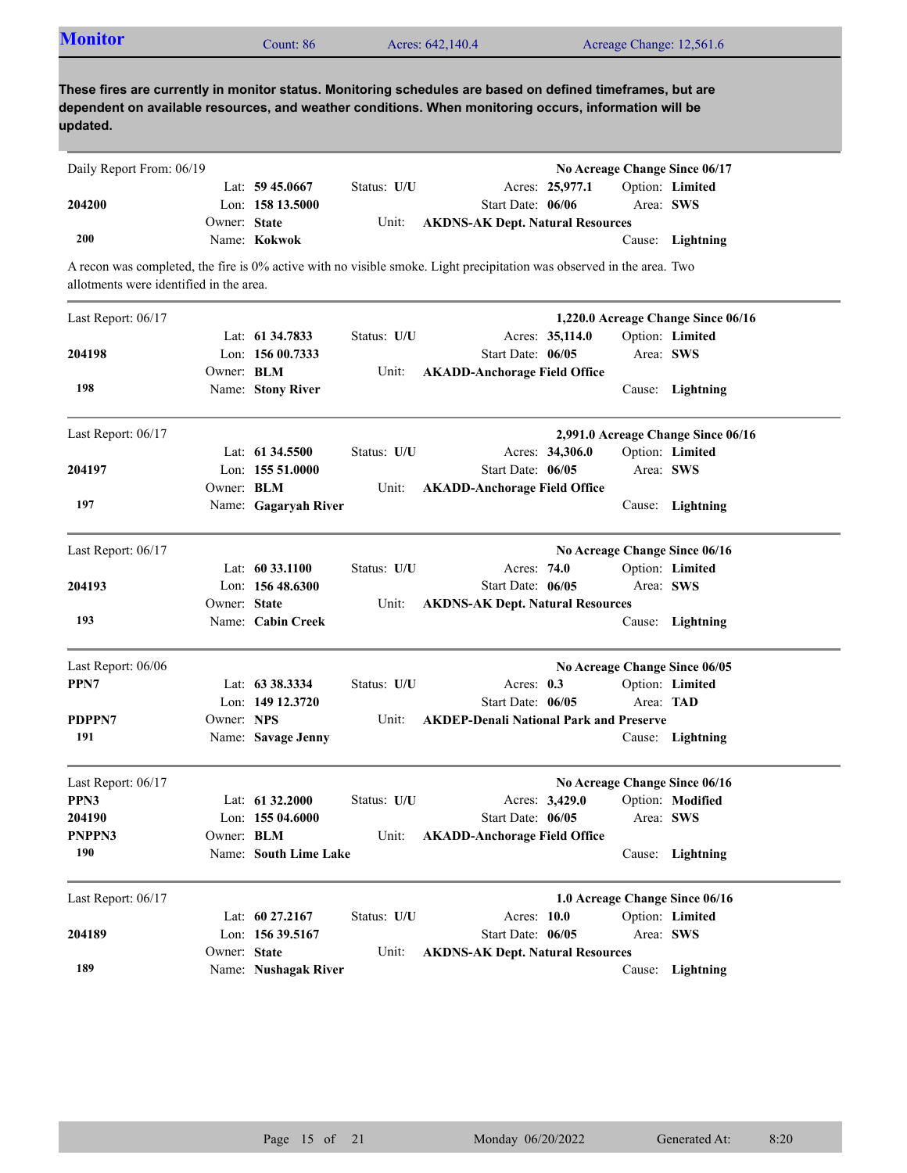| <b>Monitor</b>                          |              | Count: 86             |             | Acres: 642,140.4                                                                                                                                                                                                    |                 | Acreage Change: 12,561.6           |
|-----------------------------------------|--------------|-----------------------|-------------|---------------------------------------------------------------------------------------------------------------------------------------------------------------------------------------------------------------------|-----------------|------------------------------------|
| updated.                                |              |                       |             | These fires are currently in monitor status. Monitoring schedules are based on defined timeframes, but are<br>dependent on available resources, and weather conditions. When monitoring occurs, information will be |                 |                                    |
| Daily Report From: 06/19                |              |                       |             |                                                                                                                                                                                                                     |                 | No Acreage Change Since 06/17      |
|                                         |              | Lat: $59\,45.0667$    | Status: U/U |                                                                                                                                                                                                                     | Acres: 25,977.1 | Option: Limited                    |
| 204200                                  |              | Lon: 158 13.5000      |             | Start Date: 06/06                                                                                                                                                                                                   |                 | Area: SWS                          |
|                                         | Owner: State |                       | Unit:       | <b>AKDNS-AK Dept. Natural Resources</b>                                                                                                                                                                             |                 |                                    |
| 200                                     |              | Name: Kokwok          |             |                                                                                                                                                                                                                     |                 | Cause: Lightning                   |
| allotments were identified in the area. |              |                       |             | A recon was completed, the fire is 0% active with no visible smoke. Light precipitation was observed in the area. Two                                                                                               |                 |                                    |
| Last Report: 06/17                      |              |                       |             |                                                                                                                                                                                                                     |                 | 1,220.0 Acreage Change Since 06/16 |
|                                         |              | Lat: 61 34.7833       | Status: U/U |                                                                                                                                                                                                                     | Acres: 35,114.0 | Option: Limited                    |
| 204198                                  |              | Lon: $15600.7333$     |             | Start Date: 06/05                                                                                                                                                                                                   |                 | Area: SWS                          |
|                                         | Owner: BLM   |                       | Unit:       | <b>AKADD-Anchorage Field Office</b>                                                                                                                                                                                 |                 |                                    |
| 198                                     |              | Name: Stony River     |             |                                                                                                                                                                                                                     |                 | Cause: Lightning                   |
| Last Report: 06/17                      |              |                       |             |                                                                                                                                                                                                                     |                 | 2,991.0 Acreage Change Since 06/16 |
|                                         |              | Lat: 61 34.5500       | Status: U/U |                                                                                                                                                                                                                     | Acres: 34,306.0 | Option: Limited                    |
| 204197                                  |              | Lon: $15551.0000$     |             | Start Date: 06/05                                                                                                                                                                                                   |                 | Area: SWS                          |
|                                         | Owner: BLM   |                       | Unit:       | <b>AKADD-Anchorage Field Office</b>                                                                                                                                                                                 |                 |                                    |
| 197                                     |              | Name: Gagaryah River  |             |                                                                                                                                                                                                                     |                 | Cause: Lightning                   |
| Last Report: 06/17                      |              |                       |             |                                                                                                                                                                                                                     |                 | No Acreage Change Since 06/16      |
|                                         |              | Lat: $60\,33.1100$    | Status: U/U | Acres: 74.0                                                                                                                                                                                                         |                 | Option: Limited                    |
| 204193                                  |              | Lon: $15648.6300$     |             | Start Date: 06/05                                                                                                                                                                                                   |                 | Area: SWS                          |
|                                         | Owner: State |                       | Unit:       | <b>AKDNS-AK Dept. Natural Resources</b>                                                                                                                                                                             |                 |                                    |
| 193                                     |              | Name: Cabin Creek     |             |                                                                                                                                                                                                                     |                 | Cause: Lightning                   |
| Last Report: 06/06                      |              |                       |             |                                                                                                                                                                                                                     |                 | No Acreage Change Since 06/05      |
| PPN7                                    |              | Lat: 63 38.3334       | Status: U/U | Acres: 0.3                                                                                                                                                                                                          |                 | Option: Limited                    |
|                                         |              | Lon: 149 12.3720      |             | Start Date: 06/05                                                                                                                                                                                                   |                 | Area: TAD                          |
| PDPPN7                                  | Owner: NPS   |                       | Unit:       | <b>AKDEP-Denali National Park and Preserve</b>                                                                                                                                                                      |                 |                                    |
| 191                                     |              | Name: Savage Jenny    |             |                                                                                                                                                                                                                     |                 | Cause: Lightning                   |
| Last Report: 06/17                      |              |                       |             |                                                                                                                                                                                                                     |                 | No Acreage Change Since 06/16      |
| PPN3                                    |              | Lat: 61 32.2000       | Status: U/U |                                                                                                                                                                                                                     | Acres: 3,429.0  | Option: Modified                   |
| 204190                                  |              | Lon: $15504.6000$     |             | Start Date: 06/05                                                                                                                                                                                                   |                 | Area: SWS                          |
| PNPPN3                                  | Owner: BLM   |                       | Unit:       | <b>AKADD-Anchorage Field Office</b>                                                                                                                                                                                 |                 |                                    |
| 190                                     |              | Name: South Lime Lake |             |                                                                                                                                                                                                                     |                 | Cause: Lightning                   |
| Last Report: 06/17                      |              |                       |             |                                                                                                                                                                                                                     |                 | 1.0 Acreage Change Since 06/16     |
|                                         |              | Lat: 60 27.2167       | Status: U/U | Acres: 10.0                                                                                                                                                                                                         |                 | Option: Limited                    |
| 204189                                  |              | Lon: 156 39.5167      |             | Start Date: 06/05                                                                                                                                                                                                   |                 | Area: SWS                          |
|                                         | Owner: State |                       | Unit:       | <b>AKDNS-AK Dept. Natural Resources</b>                                                                                                                                                                             |                 |                                    |
| 189                                     |              | Name: Nushagak River  |             |                                                                                                                                                                                                                     |                 | Cause: Lightning                   |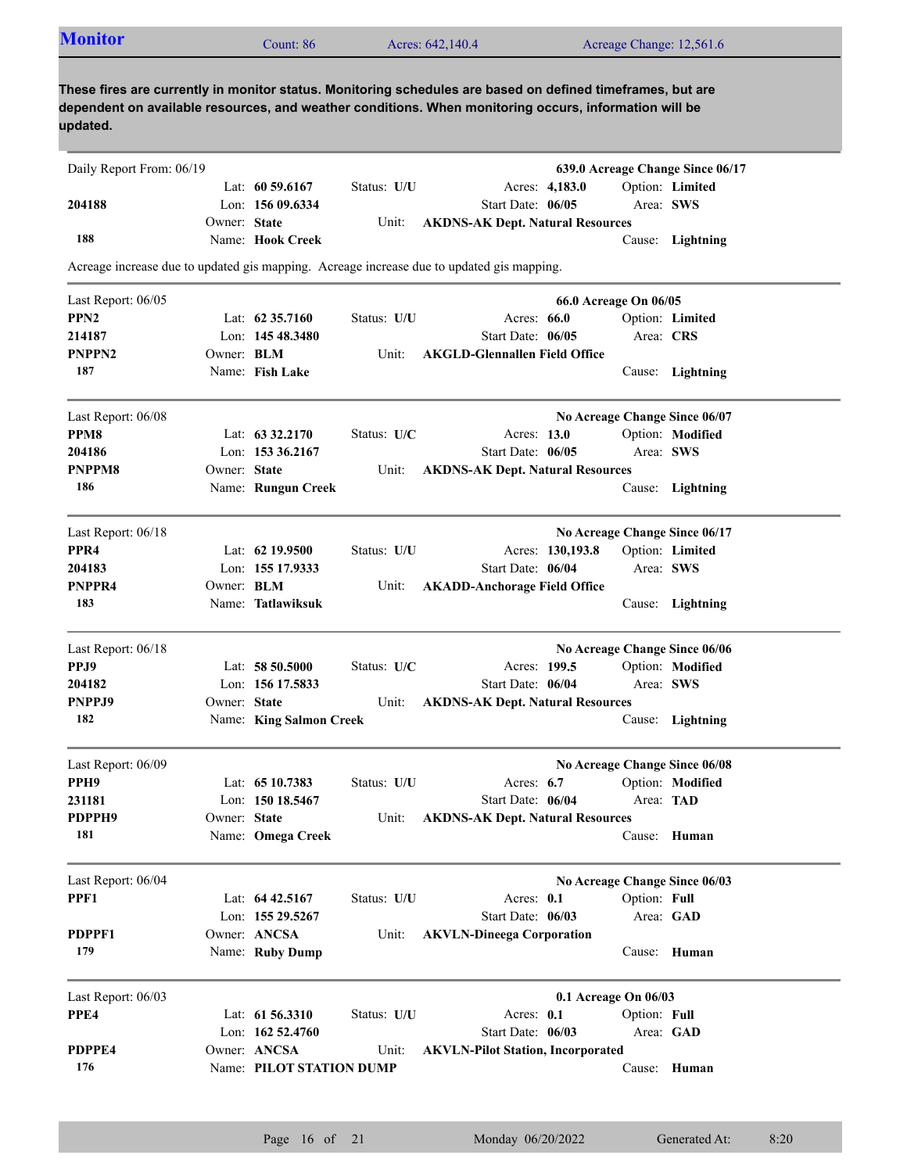| <b>Monitor</b> | Count: 86 | Acres: 642,140.4 | Acreage Change: 12,561.6 |  |
|----------------|-----------|------------------|--------------------------|--|
|                |           |                  |                          |  |

| Daily Report From: 06/19 |                   |                          |             |                                                                                           |                       | 639.0 Acreage Change Since 06/17 |  |
|--------------------------|-------------------|--------------------------|-------------|-------------------------------------------------------------------------------------------|-----------------------|----------------------------------|--|
|                          |                   | Lat: $60\,59.6167$       | Status: U/U | Acres: 4,183.0                                                                            |                       | Option: Limited                  |  |
| 204188                   |                   | Lon: 156 09.6334         |             | Start Date: 06/05                                                                         |                       | Area: SWS                        |  |
|                          | Owner: State      |                          | Unit:       | <b>AKDNS-AK Dept. Natural Resources</b>                                                   |                       |                                  |  |
| 188                      |                   | Name: Hook Creek         |             |                                                                                           |                       | Cause: Lightning                 |  |
|                          |                   |                          |             | Acreage increase due to updated gis mapping. Acreage increase due to updated gis mapping. |                       |                                  |  |
| Last Report: 06/05       |                   |                          |             |                                                                                           | 66.0 Acreage On 06/05 |                                  |  |
| PPN <sub>2</sub>         |                   | Lat: $62,35,7160$        | Status: U/U | Acres: 66.0                                                                               |                       | Option: Limited                  |  |
| 214187                   |                   | Lon: 145 48.3480         |             | Start Date: 06/05                                                                         |                       | Area: CRS                        |  |
| <b>PNPPN2</b>            | Owner: BLM        |                          | Unit:       | <b>AKGLD-Glennallen Field Office</b>                                                      |                       |                                  |  |
| 187                      |                   | Name: Fish Lake          |             |                                                                                           |                       | Cause: Lightning                 |  |
| Last Report: 06/08       |                   |                          |             |                                                                                           |                       | No Acreage Change Since 06/07    |  |
| PPM8                     |                   | Lat: $63\,32.2170$       | Status: U/C | Acres: 13.0                                                                               |                       | Option: Modified                 |  |
| 204186                   |                   | Lon: 153 36.2167         |             | Start Date: 06/05                                                                         |                       | Area: SWS                        |  |
| PNPPM8                   | Owner: State      |                          | Unit:       | <b>AKDNS-AK Dept. Natural Resources</b>                                                   |                       |                                  |  |
| 186                      |                   | Name: Rungun Creek       |             |                                                                                           |                       | Cause: Lightning                 |  |
| Last Report: 06/18       |                   |                          |             |                                                                                           |                       | No Acreage Change Since 06/17    |  |
| PPR <sub>4</sub>         |                   | Lat: $62$ 19.9500        | Status: U/U | Acres: 130,193.8                                                                          |                       | Option: Limited                  |  |
| 204183                   |                   | Lon: 155 17.9333         |             | Start Date: 06/04                                                                         |                       | Area: SWS                        |  |
| PNPPR4                   | Owner: <b>BLM</b> |                          | Unit:       | <b>AKADD-Anchorage Field Office</b>                                                       |                       |                                  |  |
| 183                      |                   | Name: Tatlawiksuk        |             |                                                                                           | Cause:                | Lightning                        |  |
| Last Report: 06/18       |                   |                          |             |                                                                                           |                       | No Acreage Change Since 06/06    |  |
| PPJ9                     |                   | Lat: $58\,50.5000$       | Status: U/C | Acres: 199.5                                                                              |                       | Option: Modified                 |  |
| 204182                   |                   | Lon: 156 17.5833         |             | Start Date: 06/04                                                                         |                       | Area: SWS                        |  |
| PNPPJ9                   | Owner: State      |                          | Unit:       | <b>AKDNS-AK Dept. Natural Resources</b>                                                   |                       |                                  |  |
| 182                      |                   | Name: King Salmon Creek  |             |                                                                                           |                       | Cause: Lightning                 |  |
| Last Report: 06/09       |                   |                          |             |                                                                                           |                       | No Acreage Change Since 06/08    |  |
| PPH9                     |                   | Lat: $6510.7383$         | Status: U/U | Acres: $6.7$                                                                              |                       | Option: Modified                 |  |
| 231181                   |                   | Lon: 150 18.5467         |             | Start Date: 06/04                                                                         |                       | Area: TAD                        |  |
| PDPPH9                   | Owner: State      |                          | Unit:       | <b>AKDNS-AK Dept. Natural Resources</b>                                                   |                       |                                  |  |
| 181                      |                   | Name: Omega Creek        |             |                                                                                           |                       | Cause: Human                     |  |
| Last Report: 06/04       |                   |                          |             |                                                                                           |                       | No Acreage Change Since 06/03    |  |
| PPF1                     |                   | Lat: $64\,42.5167$       | Status: U/U | Acres: 0.1                                                                                | Option: Full          |                                  |  |
|                          |                   | Lon: 155 29.5267         |             | Start Date: 06/03                                                                         |                       | Area: GAD                        |  |
| PDPPF1                   |                   | Owner: ANCSA             | Unit:       | <b>AKVLN-Dineega Corporation</b>                                                          |                       |                                  |  |
| 179                      |                   | Name: Ruby Dump          |             |                                                                                           |                       | Cause: Human                     |  |
| Last Report: 06/03       |                   |                          |             |                                                                                           | 0.1 Acreage On 06/03  |                                  |  |
| PPE4                     |                   | Lat: 61 56.3310          | Status: U/U | Acres: 0.1                                                                                | Option: Full          |                                  |  |
|                          |                   | Lon: 162 52.4760         |             | Start Date: 06/03                                                                         |                       | Area: GAD                        |  |
| PDPPE4                   |                   | Owner: ANCSA             | Unit:       | <b>AKVLN-Pilot Station, Incorporated</b>                                                  |                       |                                  |  |
| 176                      |                   | Name: PILOT STATION DUMP |             |                                                                                           |                       | Cause: Human                     |  |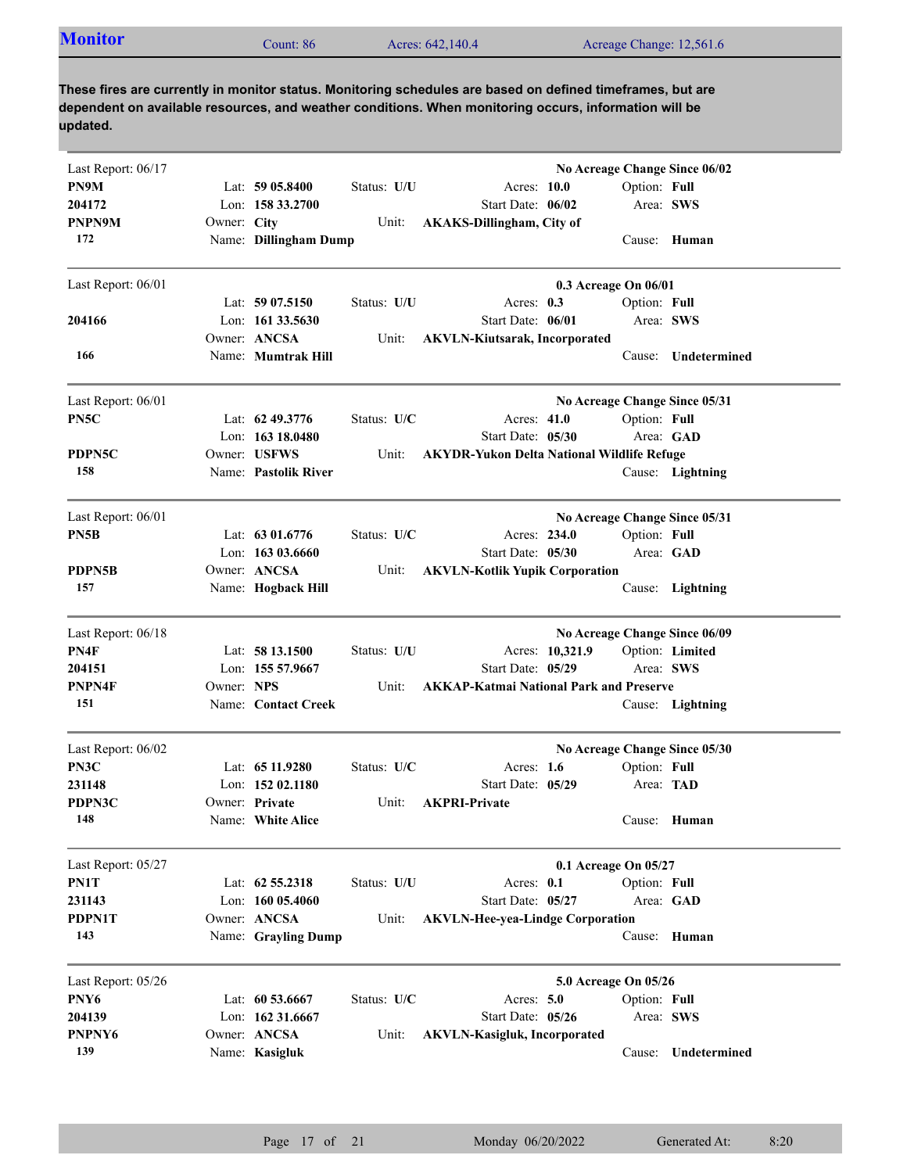|  | <b>Monitor</b><br>Count: 86 | Acres: 642,140.4 | Acreage Change: 12,561.6 |
|--|-----------------------------|------------------|--------------------------|
|--|-----------------------------|------------------|--------------------------|

| Last Report: 06/17 |             |                       |             |                                                   |              | No Acreage Change Since 06/02 |
|--------------------|-------------|-----------------------|-------------|---------------------------------------------------|--------------|-------------------------------|
| PN9M               |             | Lat: $5905.8400$      | Status: U/U | Acres: 10.0                                       | Option: Full |                               |
| 204172             |             | Lon: 158 33.2700      |             | Start Date: 06/02                                 |              | Area: SWS                     |
| PNPN9M             | Owner: City |                       | Unit:       | <b>AKAKS-Dillingham, City of</b>                  |              |                               |
| 172                |             | Name: Dillingham Dump |             |                                                   |              | Cause: Human                  |
| Last Report: 06/01 |             |                       |             | 0.3 Acreage On 06/01                              |              |                               |
|                    |             | Lat: $5907.5150$      | Status: U/U | Acres: $0.3$                                      | Option: Full |                               |
| 204166             |             | Lon: $16133.5630$     |             | Start Date: 06/01                                 | Area: SWS    |                               |
|                    |             | Owner: ANCSA          | Unit:       | <b>AKVLN-Kiutsarak, Incorporated</b>              |              |                               |
| 166                |             | Name: Mumtrak Hill    |             |                                                   | Cause:       | Undetermined                  |
| Last Report: 06/01 |             |                       |             |                                                   |              | No Acreage Change Since 05/31 |
| PN5C               |             | Lat: $62\,49.3776$    | Status: U/C | Acres: 41.0                                       | Option: Full |                               |
|                    |             | Lon: $16318.0480$     |             | Start Date: 05/30                                 |              | Area: GAD                     |
| PDPN5C             |             | Owner: USFWS          | Unit:       | <b>AKYDR-Yukon Delta National Wildlife Refuge</b> |              |                               |
| 158                |             | Name: Pastolik River  |             |                                                   |              | Cause: Lightning              |
| Last Report: 06/01 |             |                       |             |                                                   |              | No Acreage Change Since 05/31 |
| PN5B               |             | Lat: 63 01.6776       | Status: U/C | Acres: 234.0                                      | Option: Full |                               |
|                    |             | Lon: 163 03.6660      |             | Start Date: 05/30                                 |              | Area: GAD                     |
| PDPN5B             |             | Owner: ANCSA          | Unit:       | <b>AKVLN-Kotlik Yupik Corporation</b>             |              |                               |
| 157                |             | Name: Hogback Hill    |             |                                                   |              | Cause: Lightning              |
|                    |             |                       |             |                                                   |              |                               |
| Last Report: 06/18 |             |                       |             |                                                   |              | No Acreage Change Since 06/09 |
| PN4F               |             | Lat: $5813.1500$      | Status: U/U | Acres: 10,321.9                                   |              | Option: Limited               |
| 204151             |             | Lon: 155 57.9667      |             | Start Date: 05/29                                 | Area: SWS    |                               |
| PNPN4F             | Owner: NPS  |                       | Unit:       | <b>AKKAP-Katmai National Park and Preserve</b>    |              |                               |
| 151                |             | Name: Contact Creek   |             |                                                   |              | Cause: Lightning              |
| Last Report: 06/02 |             |                       |             |                                                   |              | No Acreage Change Since 05/30 |
| PN3C               |             | Lat: $6511.9280$      | Status: U/C | Acres: $1.6$                                      | Option: Full |                               |
| 231148             |             | Lon: $15202.1180$     |             | Start Date: 05/29                                 | Area: TAD    |                               |
| PDPN3C             |             | Owner: Private        | Unit:       | <b>AKPRI-Private</b>                              |              |                               |
| 148                |             | Name: White Alice     |             |                                                   |              | Cause: Human                  |
| Last Report: 05/27 |             |                       |             | 0.1 Acreage On 05/27                              |              |                               |
| PN1T               |             | Lat: 62 55.2318       | Status: U/U | Acres: 0.1                                        | Option: Full |                               |
| 231143             |             | Lon: 160 05.4060      |             | Start Date: 05/27                                 |              | Area: GAD                     |
| PDPN1T             |             | Owner: ANCSA          | Unit:       | <b>AKVLN-Hee-yea-Lindge Corporation</b>           |              |                               |
| 143                |             | Name: Grayling Dump   |             |                                                   |              | Cause: Human                  |
| Last Report: 05/26 |             |                       |             | 5.0 Acreage On 05/26                              |              |                               |
| PNY6               |             | Lat: 60 53.6667       | Status: U/C | Acres: 5.0                                        | Option: Full |                               |
| 204139             |             | Lon: 162 31.6667      |             | Start Date: 05/26                                 | Area: SWS    |                               |
| PNPNY6             |             | Owner: ANCSA          | Unit:       | <b>AKVLN-Kasigluk, Incorporated</b>               |              |                               |
| 139                |             | Name: Kasigluk        |             |                                                   |              | Cause: Undetermined           |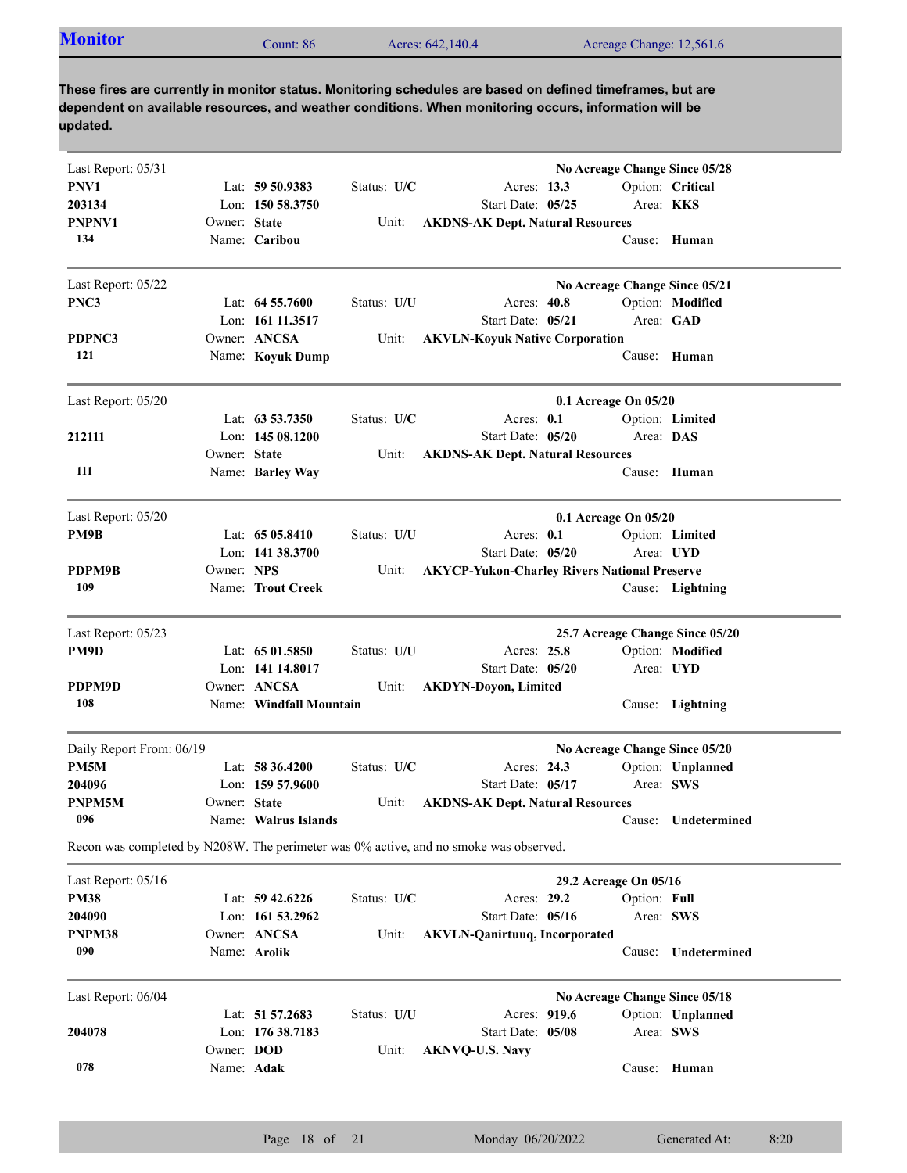| Acreage Change: 12,561.6<br>Acres: 642,140.4<br>$\mathcal$ count: 86 | <b>Monitor</b> |
|----------------------------------------------------------------------|----------------|
|----------------------------------------------------------------------|----------------|

| Last Report: 05/31<br>No Acreage Change Since 05/28<br>PNV1<br>Option: Critical<br>Lat: $59\,50.9383$<br>Status: U/C<br>Acres: 13.3<br>203134<br>Lon: $150, 58, 3750$<br>Start Date: 05/25<br>Area: <b>KKS</b><br>PNPNV1<br>Owner: State<br>Unit:<br><b>AKDNS-AK Dept. Natural Resources</b><br>134<br>Name: Caribou<br>Cause: Human<br>Last Report: 05/22<br>No Acreage Change Since 05/21 |  |
|---------------------------------------------------------------------------------------------------------------------------------------------------------------------------------------------------------------------------------------------------------------------------------------------------------------------------------------------------------------------------------------------|--|
|                                                                                                                                                                                                                                                                                                                                                                                             |  |
|                                                                                                                                                                                                                                                                                                                                                                                             |  |
|                                                                                                                                                                                                                                                                                                                                                                                             |  |
|                                                                                                                                                                                                                                                                                                                                                                                             |  |
|                                                                                                                                                                                                                                                                                                                                                                                             |  |
| PNC3<br>Option: Modified<br>Lat: $64\,55.7600$<br>Status: U/U<br>Acres: 40.8                                                                                                                                                                                                                                                                                                                |  |
| Lon: 161 11.3517<br>Start Date: 05/21<br>Area: GAD                                                                                                                                                                                                                                                                                                                                          |  |
| Owner: ANCSA<br>PDPNC3<br><b>AKVLN-Koyuk Native Corporation</b><br>Unit:                                                                                                                                                                                                                                                                                                                    |  |
| 121<br>Name: Koyuk Dump<br>Cause: Human                                                                                                                                                                                                                                                                                                                                                     |  |
| Last Report: 05/20<br>$0.1$ Acreage On $05/20$                                                                                                                                                                                                                                                                                                                                              |  |
| Lat: $63\,53.7350$<br>Status: U/C<br>Acres: 0.1<br>Option: Limited                                                                                                                                                                                                                                                                                                                          |  |
| Lon: 145 08.1200<br>Start Date: 05/20<br>Area: DAS<br>212111                                                                                                                                                                                                                                                                                                                                |  |
| Owner: State<br><b>AKDNS-AK Dept. Natural Resources</b><br>Unit:                                                                                                                                                                                                                                                                                                                            |  |
| 111<br>Name: Barley Way<br>Cause: Human                                                                                                                                                                                                                                                                                                                                                     |  |
| Last Report: 05/20<br>$0.1$ Acreage On $05/20$                                                                                                                                                                                                                                                                                                                                              |  |
| PM9B<br>Lat: $6505.8410$<br>Status: U/U<br>Acres: $0.1$<br>Option: Limited                                                                                                                                                                                                                                                                                                                  |  |
| Lon: 141 38.3700<br>Start Date: 05/20<br>Area: UYD                                                                                                                                                                                                                                                                                                                                          |  |
| Owner: NPS<br>PDPM9B<br><b>AKYCP-Yukon-Charley Rivers National Preserve</b><br>Unit:                                                                                                                                                                                                                                                                                                        |  |
| 109<br>Name: Trout Creek<br>Cause: Lightning                                                                                                                                                                                                                                                                                                                                                |  |
| Last Report: 05/23<br>25.7 Acreage Change Since 05/20                                                                                                                                                                                                                                                                                                                                       |  |
| PM9D<br>Option: Modified<br>Lat: $6501.5850$<br>Status: U/U<br>Acres: 25.8                                                                                                                                                                                                                                                                                                                  |  |
| Lon: 141 14.8017<br>Start Date: 05/20<br>Area: UYD                                                                                                                                                                                                                                                                                                                                          |  |
| PDPM9D<br>Owner: ANCSA<br>Unit:<br><b>AKDYN-Doyon, Limited</b>                                                                                                                                                                                                                                                                                                                              |  |
| 108<br>Name: Windfall Mountain<br>Cause: Lightning                                                                                                                                                                                                                                                                                                                                          |  |
| Daily Report From: 06/19<br>No Acreage Change Since 05/20                                                                                                                                                                                                                                                                                                                                   |  |
| PM5M<br>Option: Unplanned<br>Lat: $58\,36.4200$<br>Status: U/C<br>Acres: 24.3                                                                                                                                                                                                                                                                                                               |  |
| Area: SWS<br>Start Date: 05/17<br>204096<br>Lon: $15957.9600$                                                                                                                                                                                                                                                                                                                               |  |
| PNPM5M<br>Owner: State<br><b>AKDNS-AK Dept. Natural Resources</b><br>Unit:                                                                                                                                                                                                                                                                                                                  |  |
| 096<br>Name: Walrus Islands<br>Cause: Undetermined                                                                                                                                                                                                                                                                                                                                          |  |
| Recon was completed by N208W. The perimeter was 0% active, and no smoke was observed.                                                                                                                                                                                                                                                                                                       |  |
| 29.2 Acreage On 05/16<br>Last Report: 05/16                                                                                                                                                                                                                                                                                                                                                 |  |
| <b>PM38</b><br>Acres: 29.2<br>Lat: $59\,42.6226$<br>Status: U/C<br>Option: Full                                                                                                                                                                                                                                                                                                             |  |
| 204090<br>Lon: 161 53.2962<br>Start Date: 05/16<br>Area: SWS                                                                                                                                                                                                                                                                                                                                |  |
| Owner: ANCSA<br>PNPM38<br><b>AKVLN-Qanirtuuq, Incorporated</b><br>Unit:                                                                                                                                                                                                                                                                                                                     |  |
| 090<br>Name: Arolik<br>Undetermined<br>Cause:                                                                                                                                                                                                                                                                                                                                               |  |
| Last Report: 06/04<br>No Acreage Change Since 05/18                                                                                                                                                                                                                                                                                                                                         |  |
| Acres: 919.6<br>Lat: 51 57.2683<br>Status: U/U<br>Option: Unplanned                                                                                                                                                                                                                                                                                                                         |  |
| Lon: 176 38.7183<br>Start Date: 05/08<br>204078<br>Area: SWS                                                                                                                                                                                                                                                                                                                                |  |
| Owner: DOD<br>Unit:<br><b>AKNVQ-U.S. Navy</b>                                                                                                                                                                                                                                                                                                                                               |  |
| 078<br>Name: Adak<br>Cause: Human                                                                                                                                                                                                                                                                                                                                                           |  |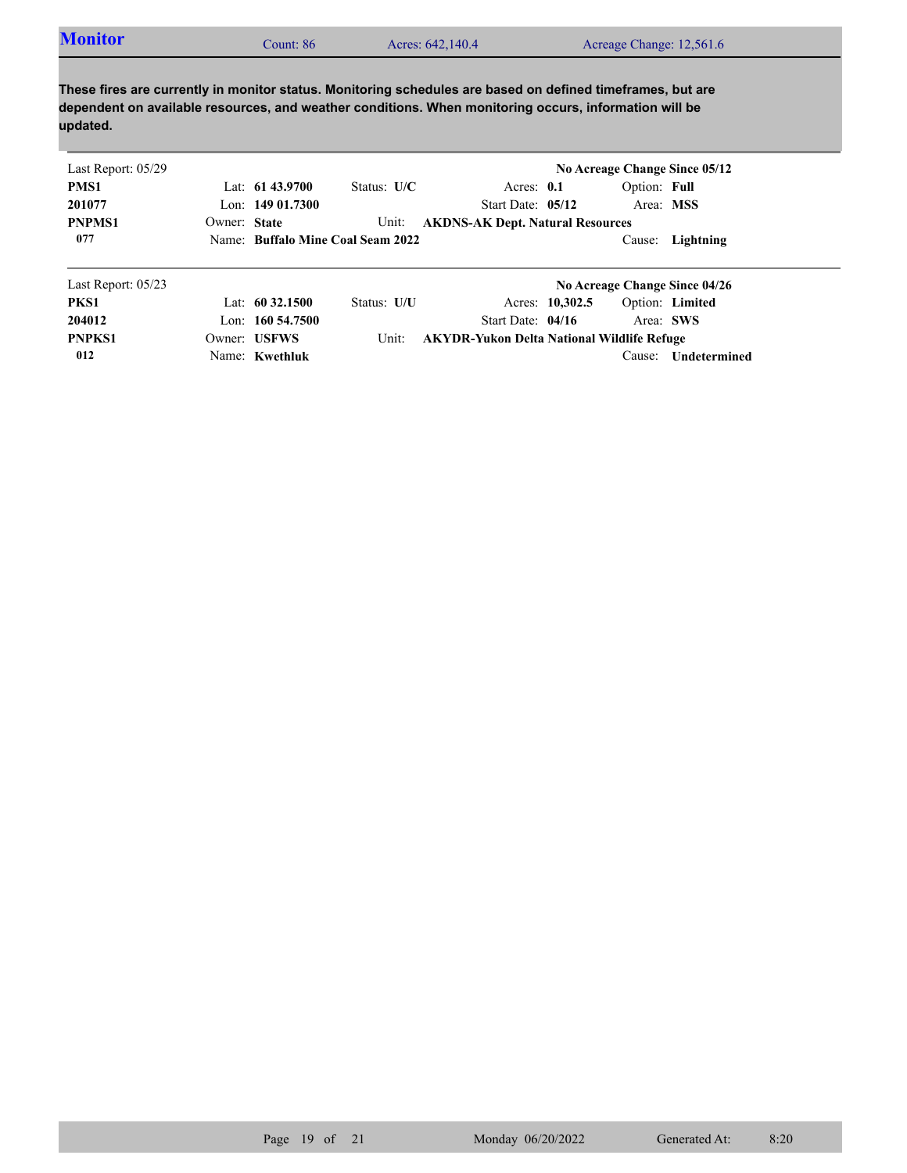| Last Report: 05/29 |              |                      |                                   |                                                   | No Acreage Change Since 05/12 |              |                               |  |
|--------------------|--------------|----------------------|-----------------------------------|---------------------------------------------------|-------------------------------|--------------|-------------------------------|--|
| PMS1               |              | Lat: $61\,43.9700$   | Status: $U/C$                     | Acres: $0.1$                                      |                               | Option: Full |                               |  |
| 201077             |              | Lon: $14901.7300$    |                                   | Start Date: $05/12$                               |                               | Area: MSS    |                               |  |
| <b>PNPMS1</b>      | Owner: State |                      | Unit:                             | <b>AKDNS-AK Dept. Natural Resources</b>           |                               |              |                               |  |
| 077                |              |                      | Name: Buffalo Mine Coal Seam 2022 |                                                   |                               |              | Cause: Lightning              |  |
| Last Report: 05/23 |              |                      |                                   |                                                   |                               |              | No Acreage Change Since 04/26 |  |
| PKS1               |              | Lat: $60\,32.1500$   | Status: U/U                       |                                                   | Acres: 10,302.5               |              | Option: Limited               |  |
| 204012             |              | Lon: $160, 54, 7500$ |                                   | Start Date: 04/16                                 |                               | Area: SWS    |                               |  |
| <b>PNPKS1</b>      |              | Owner: USFWS         | Unit:                             | <b>AKYDR-Yukon Delta National Wildlife Refuge</b> |                               |              |                               |  |

Name: **Kwethluk**

**012**

Cause: **Undetermined**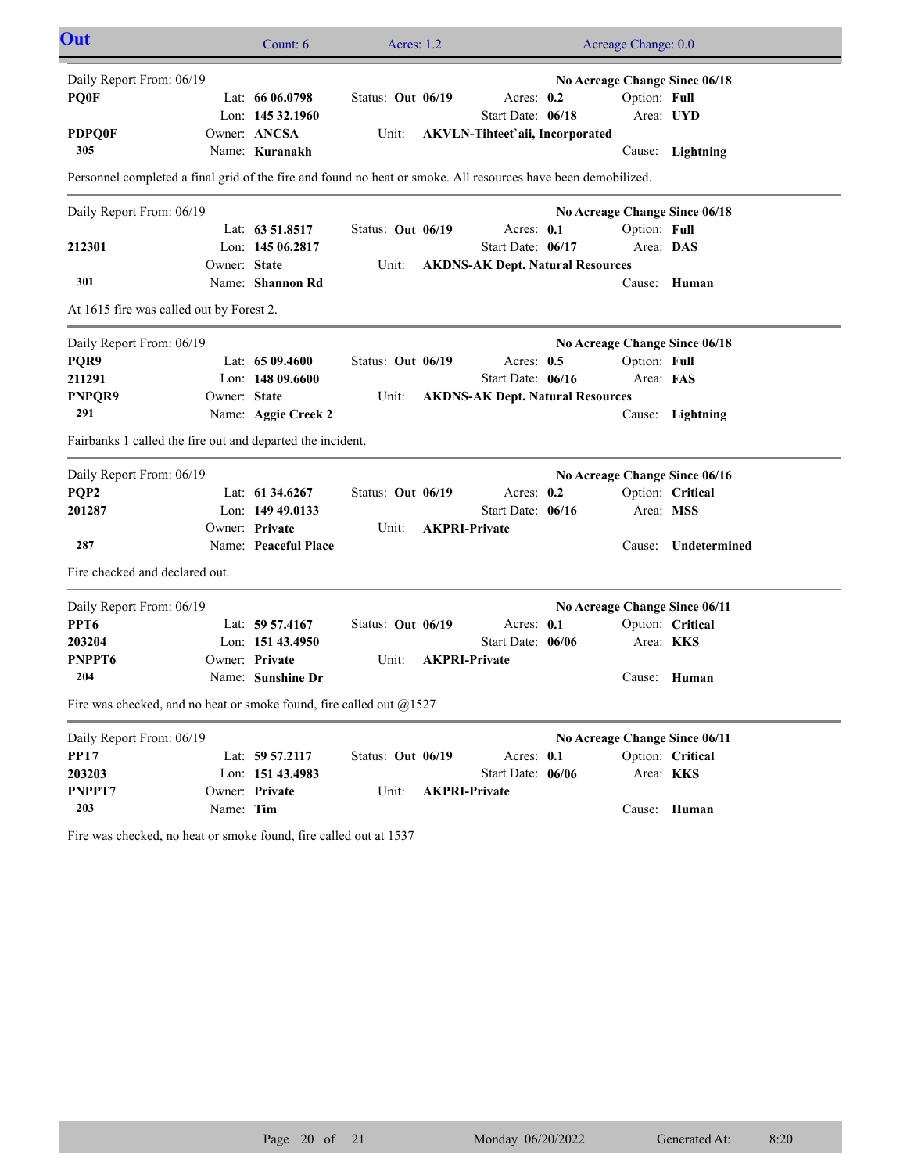| Out                                                                                                           |                | Count: 6             | Acres: 1.2        |  |                                         |  | Acreage Change: 0.0 |                               |
|---------------------------------------------------------------------------------------------------------------|----------------|----------------------|-------------------|--|-----------------------------------------|--|---------------------|-------------------------------|
| Daily Report From: 06/19<br>No Acreage Change Since 06/18                                                     |                |                      |                   |  |                                         |  |                     |                               |
| <b>POOF</b>                                                                                                   |                | Lat: $6606.0798$     | Status: Out 06/19 |  | Acres: $0.2$                            |  | Option: Full        |                               |
|                                                                                                               |                | Lon: 145 32.1960     |                   |  | Start Date: 06/18                       |  |                     | Area: UYD                     |
| <b>PDPQ0F</b>                                                                                                 |                | Owner: ANCSA         | Unit:             |  | <b>AKVLN-Tihteet'aii, Incorporated</b>  |  |                     |                               |
| 305                                                                                                           |                | Name: Kuranakh       |                   |  |                                         |  |                     | Cause: Lightning              |
| Personnel completed a final grid of the fire and found no heat or smoke. All resources have been demobilized. |                |                      |                   |  |                                         |  |                     |                               |
| Daily Report From: 06/19                                                                                      |                |                      |                   |  |                                         |  |                     | No Acreage Change Since 06/18 |
|                                                                                                               |                | Lat: 63 51.8517      | Status: Out 06/19 |  | Acres: $0.1$                            |  | Option: Full        |                               |
| 212301                                                                                                        |                | Lon: $14506.2817$    |                   |  | Start Date: 06/17                       |  | Area: DAS           |                               |
|                                                                                                               | Owner: State   |                      | Unit:             |  | <b>AKDNS-AK Dept. Natural Resources</b> |  |                     |                               |
| 301                                                                                                           |                | Name: Shannon Rd     |                   |  |                                         |  |                     | Cause: Human                  |
| At 1615 fire was called out by Forest 2.                                                                      |                |                      |                   |  |                                         |  |                     |                               |
| Daily Report From: 06/19                                                                                      |                |                      |                   |  |                                         |  |                     | No Acreage Change Since 06/18 |
| PQR9                                                                                                          |                | Lat: $6509.4600$     | Status: Out 06/19 |  | Acres: $0.5$                            |  | Option: Full        |                               |
| 211291                                                                                                        |                | Lon: $14809.6600$    |                   |  | Start Date: 06/16                       |  | Area: FAS           |                               |
| PNPQR9                                                                                                        | Owner: State   |                      | Unit:             |  | <b>AKDNS-AK Dept. Natural Resources</b> |  |                     |                               |
| 291                                                                                                           |                | Name: Aggie Creek 2  |                   |  |                                         |  |                     | Cause: Lightning              |
| Fairbanks 1 called the fire out and departed the incident.                                                    |                |                      |                   |  |                                         |  |                     |                               |
| Daily Report From: 06/19                                                                                      |                |                      |                   |  |                                         |  |                     | No Acreage Change Since 06/16 |
| PQP <sub>2</sub>                                                                                              |                | Lat: $61\,34.6267$   | Status: Out 06/19 |  | Acres: $0.2$                            |  |                     | Option: Critical              |
| 201287                                                                                                        |                | Lon: 149 49.0133     |                   |  | Start Date: 06/16                       |  | Area: MSS           |                               |
|                                                                                                               | Owner: Private |                      | Unit:             |  | <b>AKPRI-Private</b>                    |  |                     |                               |
| 287                                                                                                           |                | Name: Peaceful Place |                   |  |                                         |  | Cause:              | Undetermined                  |
| Fire checked and declared out.                                                                                |                |                      |                   |  |                                         |  |                     |                               |
| Daily Report From: 06/19                                                                                      |                |                      |                   |  |                                         |  |                     | No Acreage Change Since 06/11 |
| PPT <sub>6</sub>                                                                                              |                | Lat: 59 57.4167      | Status: Out 06/19 |  | Acres: 0.1                              |  |                     | Option: Critical              |
| 203204                                                                                                        |                | Lon: 151 43.4950     |                   |  | Start Date: 06/06                       |  |                     | Area: <b>KKS</b>              |
| PNPPT6                                                                                                        | Owner: Private |                      | Unit:             |  | <b>AKPRI-Private</b>                    |  |                     |                               |
| 204                                                                                                           |                | Name: Sunshine Dr    |                   |  |                                         |  |                     | Cause: Human                  |
| Fire was checked, and no heat or smoke found, fire called out $@1527$                                         |                |                      |                   |  |                                         |  |                     |                               |
| Daily Report From: 06/19                                                                                      |                |                      |                   |  |                                         |  |                     | No Acreage Change Since 06/11 |
| PPT7                                                                                                          |                | Lat: 59 57.2117      | Status: Out 06/19 |  | Acres: 0.1                              |  |                     | Option: Critical              |
| 203203                                                                                                        |                | Lon: 151 43.4983     |                   |  | Start Date: 06/06                       |  |                     | Area: KKS                     |
| PNPPT7                                                                                                        | Owner: Private |                      | Unit:             |  | <b>AKPRI-Private</b>                    |  |                     |                               |
| 203                                                                                                           | Name: Tim      |                      |                   |  |                                         |  |                     | Cause: Human                  |

Fire was checked, no heat or smoke found, fire called out at 1537